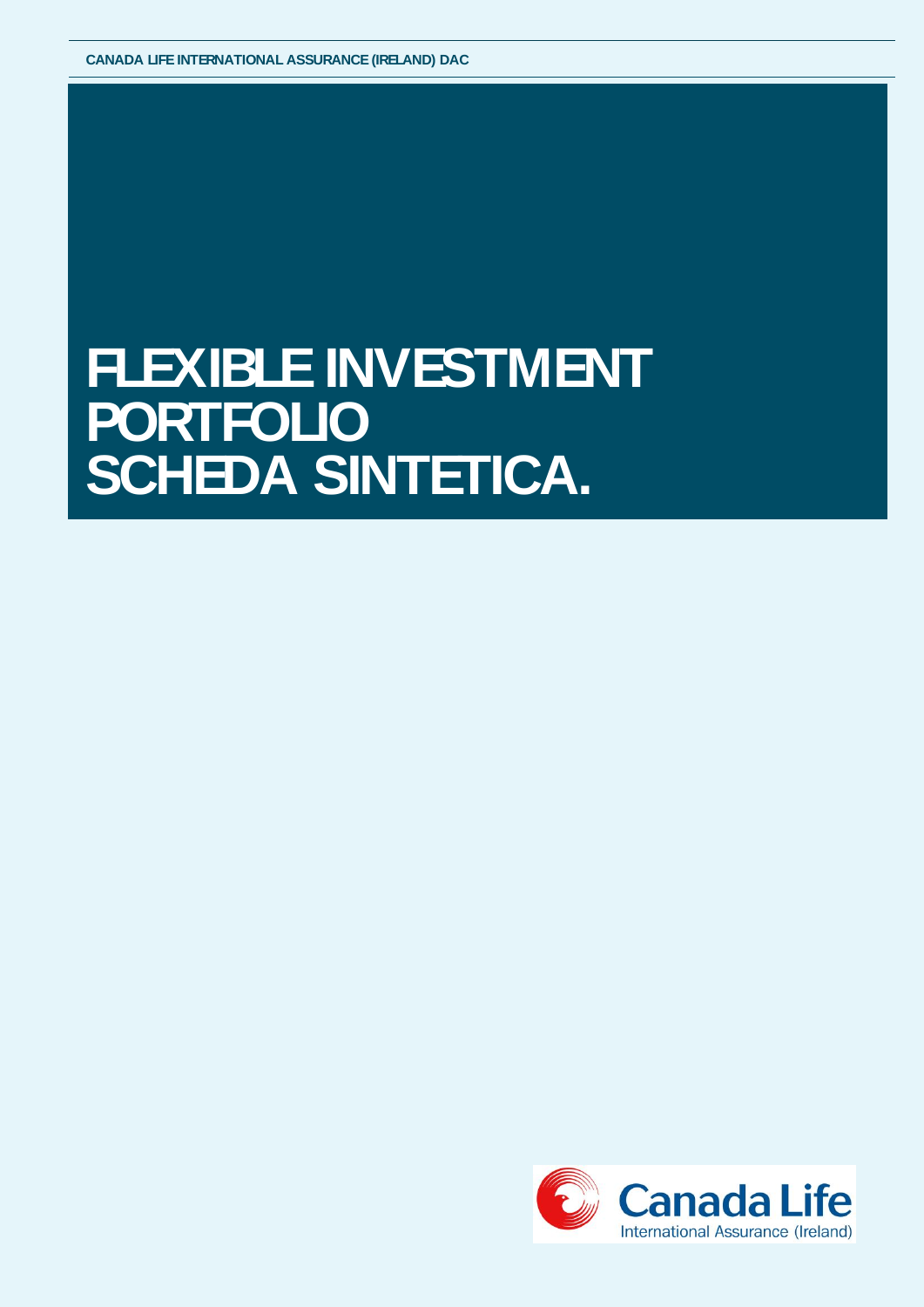## **FLEXIBLE INVESTMENT PORTFOLIO SCHEDA SINTETICA.**

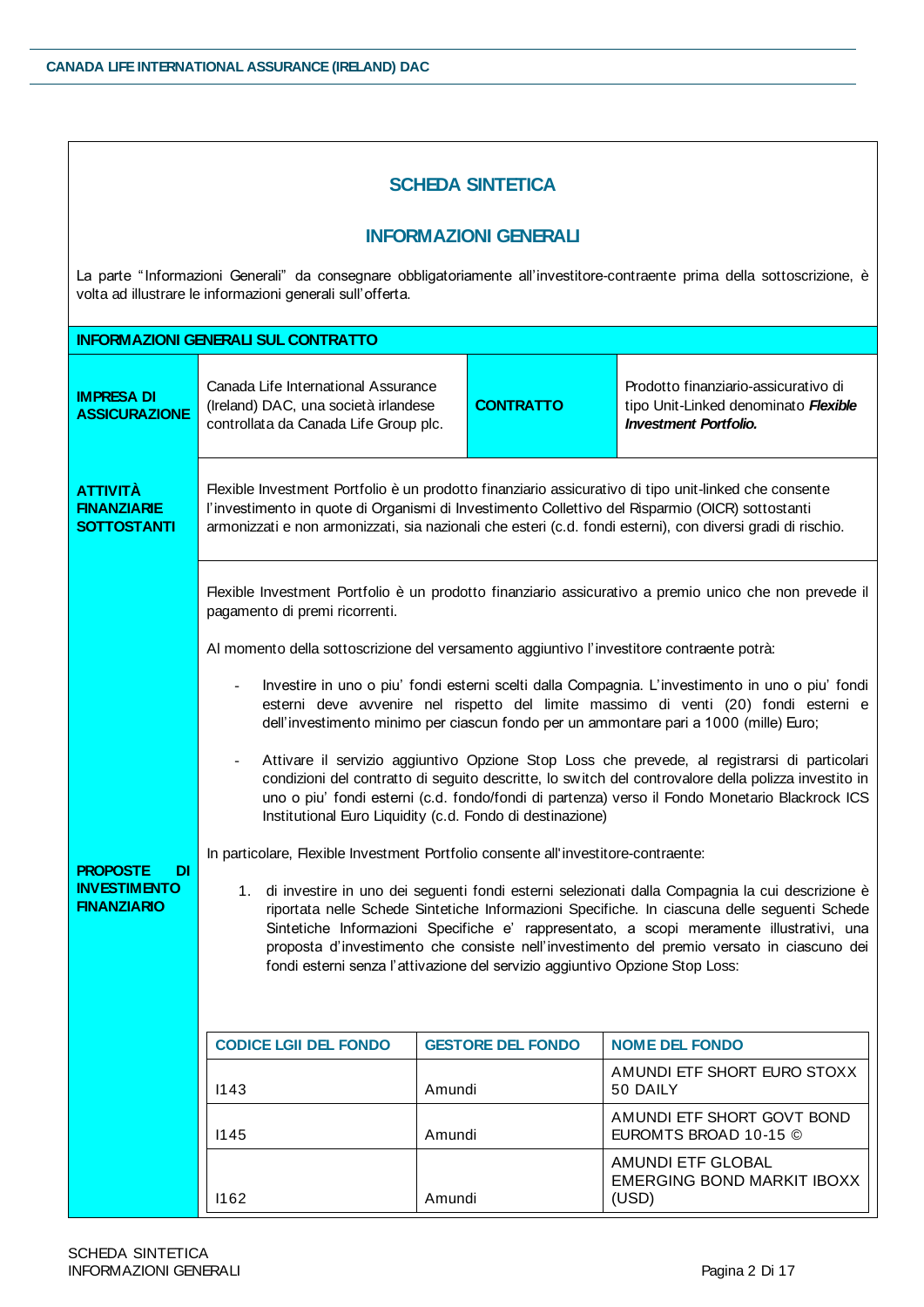## **SCHEDA SINTETICA**

## **INFORMAZIONI GENERALI**

La parte "Informazioni Generali" da consegnare obbligatoriamente all'investitore-contraente prima della sottoscrizione, è volta ad illustrare le informazioni generali sull'offerta.

|                                                                           | <b>INFORMAZIONI GENERALI SUL CONTRATTO</b>                                                                                                                                                                                                        |                                                                                                                                                                                                                                                                                                                          |                                                                                                                                                                                                                                                                                                                                                                                                                                                                                                                                                                                                                                                                                                                                                                                                                                                                                                                                                                                                                                                                                                                              |  |  |
|---------------------------------------------------------------------------|---------------------------------------------------------------------------------------------------------------------------------------------------------------------------------------------------------------------------------------------------|--------------------------------------------------------------------------------------------------------------------------------------------------------------------------------------------------------------------------------------------------------------------------------------------------------------------------|------------------------------------------------------------------------------------------------------------------------------------------------------------------------------------------------------------------------------------------------------------------------------------------------------------------------------------------------------------------------------------------------------------------------------------------------------------------------------------------------------------------------------------------------------------------------------------------------------------------------------------------------------------------------------------------------------------------------------------------------------------------------------------------------------------------------------------------------------------------------------------------------------------------------------------------------------------------------------------------------------------------------------------------------------------------------------------------------------------------------------|--|--|
| <b>IMPRESA DI</b><br><b>ASSICURAZIONE</b>                                 | Canada Life International Assurance<br>(Ireland) DAC, una società irlandese<br>controllata da Canada Life Group plc.                                                                                                                              | <b>CONTRATTO</b>                                                                                                                                                                                                                                                                                                         | Prodotto finanziario-assicurativo di<br>tipo Unit-Linked denominato Flexible<br><b>Investment Portfolio.</b>                                                                                                                                                                                                                                                                                                                                                                                                                                                                                                                                                                                                                                                                                                                                                                                                                                                                                                                                                                                                                 |  |  |
| <b>ATTIVITÀ</b><br><b>FINANZIARIE</b><br><b>SOTTOSTANTI</b>               |                                                                                                                                                                                                                                                   | Flexible Investment Portfolio è un prodotto finanziario assicurativo di tipo unit-linked che consente<br>l'investimento in quote di Organismi di Investimento Collettivo del Risparmio (OICR) sottostanti<br>armonizzati e non armonizzati, sia nazionali che esteri (c.d. fondi esterni), con diversi gradi di rischio. |                                                                                                                                                                                                                                                                                                                                                                                                                                                                                                                                                                                                                                                                                                                                                                                                                                                                                                                                                                                                                                                                                                                              |  |  |
| <b>PROPOSTE</b><br><b>DI</b><br><b>INVESTIMENTO</b><br><b>FINANZIARIO</b> | pagamento di premi ricorrenti.<br>Al momento della sottoscrizione del versamento aggiuntivo l'investitore contraente potrà:<br>In particolare, Flexible Investment Portfolio consente all'investitore-contraente:<br><b>CODICE LGII DEL FONDO</b> | Institutional Euro Liquidity (c.d. Fondo di destinazione)<br>fondi esterni senza l'attivazione del servizio aggiuntivo Opzione Stop Loss:<br><b>GESTORE DEL FONDO</b>                                                                                                                                                    | Flexible Investment Portfolio è un prodotto finanziario assicurativo a premio unico che non prevede il<br>Investire in uno o piu' fondi esterni scelti dalla Compagnia. L'investimento in uno o piu' fondi<br>esterni deve avvenire nel rispetto del limite massimo di venti (20) fondi esterni e<br>dell'investimento minimo per ciascun fondo per un ammontare pari a 1000 (mille) Euro;<br>Attivare il servizio aggiuntivo Opzione Stop Loss che prevede, al registrarsi di particolari<br>condizioni del contratto di seguito descritte, lo switch del controvalore della polizza investito in<br>uno o piu' fondi esterni (c.d. fondo/fondi di partenza) verso il Fondo Monetario Blackrock ICS<br>1. di investire in uno dei seguenti fondi esterni selezionati dalla Compagnia la cui descrizione è<br>riportata nelle Schede Sintetiche Informazioni Specifiche. In ciascuna delle seguenti Schede<br>Sintetiche Informazioni Specifiche e' rappresentato, a scopi meramente illustrativi, una<br>proposta d'investimento che consiste nell'investimento del premio versato in ciascuno dei<br><b>NOME DEL FONDO</b> |  |  |
|                                                                           | 1143                                                                                                                                                                                                                                              | Amundi                                                                                                                                                                                                                                                                                                                   | AMUNDI ETF SHORT EURO STOXX<br>50 DAILY                                                                                                                                                                                                                                                                                                                                                                                                                                                                                                                                                                                                                                                                                                                                                                                                                                                                                                                                                                                                                                                                                      |  |  |
|                                                                           | 1145                                                                                                                                                                                                                                              | Amundi                                                                                                                                                                                                                                                                                                                   | AMUNDI ETF SHORT GOVT BOND<br>EUROMTS BROAD 10-15 ©                                                                                                                                                                                                                                                                                                                                                                                                                                                                                                                                                                                                                                                                                                                                                                                                                                                                                                                                                                                                                                                                          |  |  |
|                                                                           | 1162                                                                                                                                                                                                                                              | <b>AMUNDI ETF GLOBAL</b><br><b>EMERGING BOND MARKIT IBOXX</b><br>Amundi<br>(USD)                                                                                                                                                                                                                                         |                                                                                                                                                                                                                                                                                                                                                                                                                                                                                                                                                                                                                                                                                                                                                                                                                                                                                                                                                                                                                                                                                                                              |  |  |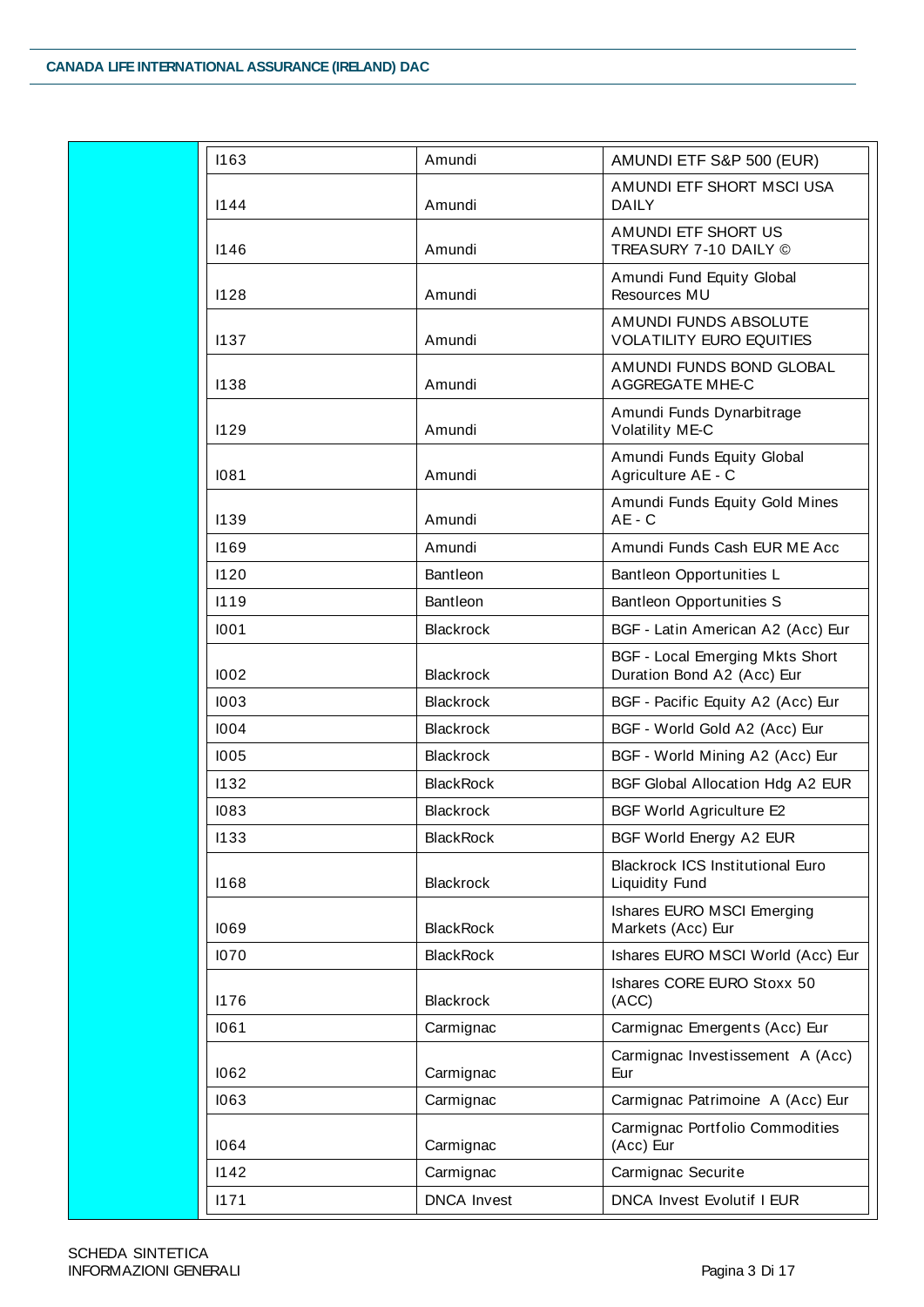| 1163 | Amundi                                                  | AMUNDI ETF S&P 500 (EUR)                                             |  |
|------|---------------------------------------------------------|----------------------------------------------------------------------|--|
|      |                                                         | AMUNDI ETF SHORT MSCI USA                                            |  |
| 1144 | Amundi                                                  | <b>DAILY</b>                                                         |  |
|      |                                                         | AMUNDI ETF SHORT US                                                  |  |
| 1146 | Amundi                                                  | TREASURY 7-10 DAILY ©                                                |  |
| 1128 | Amundi                                                  | Amundi Fund Equity Global<br>Resources MU                            |  |
|      |                                                         | AMUNDI FUNDS ABSOLUTE                                                |  |
| 1137 | Amundi                                                  | <b>VOLATILITY EURO EQUITIES</b>                                      |  |
| 1138 | Amundi                                                  | AMUNDI FUNDS BOND GLOBAL<br><b>AGGREGATE MHE-C</b>                   |  |
| 1129 | Amundi                                                  | Amundi Funds Dynarbitrage<br>Volatility ME-C                         |  |
| 1081 | Amundi                                                  | Amundi Funds Equity Global<br>Agriculture AE - C                     |  |
| 1139 | Amundi                                                  | Amundi Funds Equity Gold Mines<br>$AE - C$                           |  |
| 1169 | Amundi                                                  | Amundi Funds Cash EUR ME Acc                                         |  |
| 1120 | Bantleon                                                | Bantleon Opportunities L                                             |  |
| 1119 | Bantleon                                                | <b>Bantleon Opportunities S</b>                                      |  |
| 1001 | <b>Blackrock</b>                                        | BGF - Latin American A2 (Acc) Eur                                    |  |
| 1002 | <b>Blackrock</b>                                        | <b>BGF - Local Emerging Mkts Short</b><br>Duration Bond A2 (Acc) Eur |  |
| 1003 | <b>Blackrock</b>                                        | BGF - Pacific Equity A2 (Acc) Eur                                    |  |
| 1004 | <b>Blackrock</b><br>BGF - World Gold A2 (Acc) Eur       |                                                                      |  |
| 1005 | <b>Blackrock</b>                                        | BGF - World Mining A2 (Acc) Eur                                      |  |
| 1132 | <b>BlackRock</b><br>BGF Global Allocation Hdg A2 EUR    |                                                                      |  |
| 1083 | <b>Blackrock</b>                                        | <b>BGF World Agriculture E2</b>                                      |  |
| 1133 | <b>BlackRock</b>                                        | BGF World Energy A2 EUR                                              |  |
| 1168 | <b>Blackrock</b>                                        | <b>Blackrock ICS Institutional Euro</b><br>Liquidity Fund            |  |
| 1069 | <b>BlackRock</b>                                        | Ishares EURO MSCI Emerging<br>Markets (Acc) Eur                      |  |
| 1070 | <b>BlackRock</b>                                        | Ishares EURO MSCI World (Acc) Eur                                    |  |
| 1176 | <b>Blackrock</b>                                        | Ishares CORE EURO Stoxx 50<br>(ACC)                                  |  |
| 1061 | Carmignac                                               | Carmignac Emergents (Acc) Eur                                        |  |
| 1062 | Carmignac                                               | Carmignac Investissement A (Acc)<br>Eur                              |  |
| 1063 | Carmignac                                               | Carmignac Patrimoine A (Acc) Eur                                     |  |
| 1064 | Carmignac                                               | Carmignac Portfolio Commodities<br>(Acc) Eur                         |  |
| 1142 | Carmignac                                               | Carmignac Securite                                                   |  |
| 1171 | <b>DNCA</b> Invest<br><b>DNCA Invest Evolutif I EUR</b> |                                                                      |  |
|      |                                                         |                                                                      |  |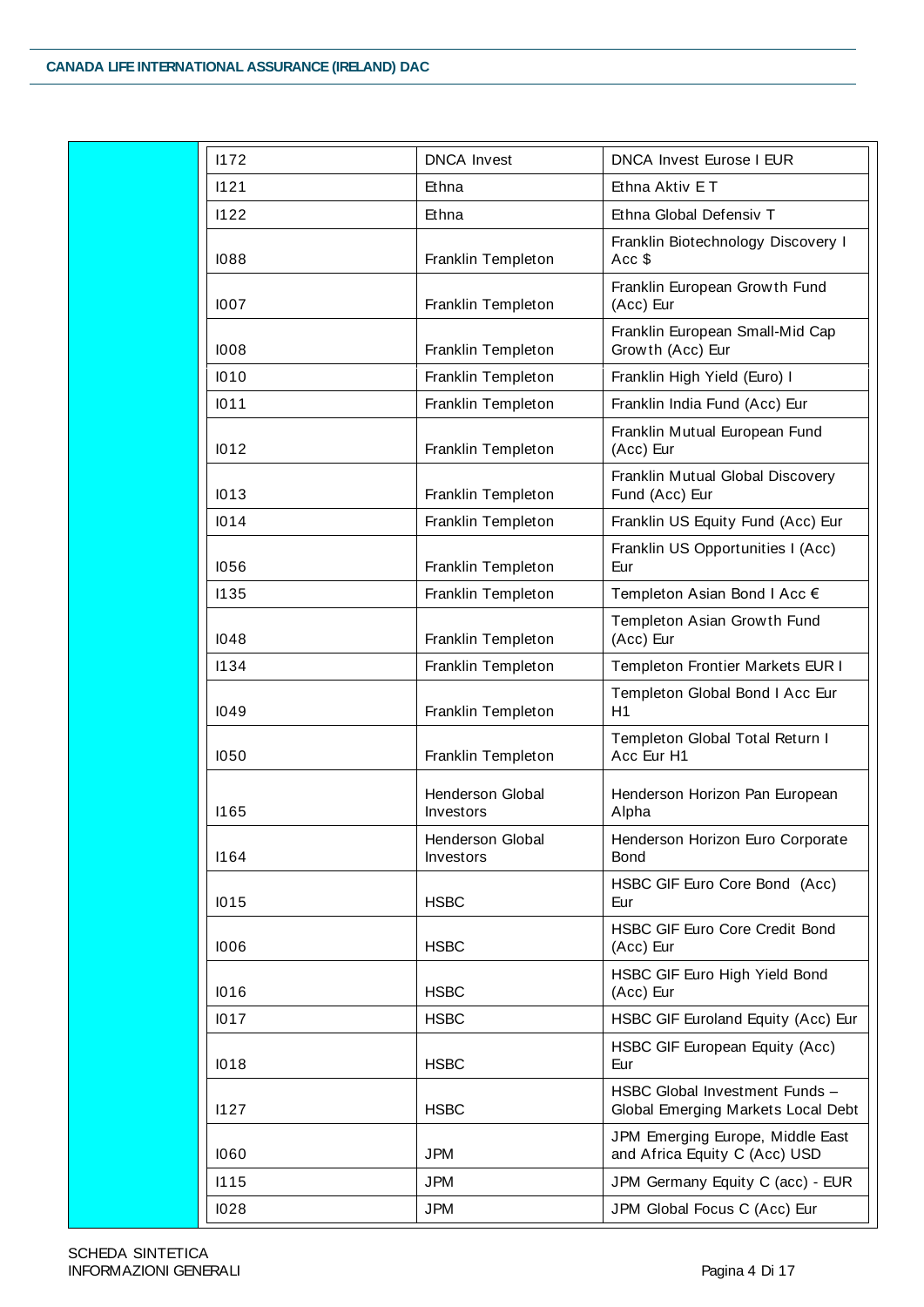| 1172<br><b>DNCA Invest</b><br><b>DNCA Invest Eurose I EUR</b><br>1121<br>Ethna<br>Ethna Aktiv ET<br>Ethna Global Defensiv T<br>1122<br>Ethna<br>Franklin Templeton<br>Acc \$<br>1088<br>Franklin European Growth Fund<br>Franklin Templeton<br>(Acc) Eur<br>1007<br>Franklin Templeton<br>Growth (Acc) Eur<br>1008<br>Franklin Templeton<br>Franklin High Yield (Euro) I<br>1010<br>1011<br>Franklin Templeton<br>Franklin India Fund (Acc) Eur<br>Franklin Mutual European Fund<br>1012<br>Franklin Templeton<br>(Acc) Eur<br>1013<br>Franklin Templeton<br>Fund (Acc) Eur<br>Franklin Templeton<br>1014<br>Franklin Templeton<br>1056<br>Eur<br>Franklin Templeton<br>Templeton Asian Bond I Acc €<br>1135<br>Templeton Asian Growth Fund<br>(Acc) Eur<br>Franklin Templeton<br>1048<br>1134<br>Franklin Templeton<br>Franklin Templeton<br>H1<br>1049<br>Franklin Templeton<br>Acc Eur H1<br>1050<br><b>Henderson Global</b><br><b>I165</b><br>Investors<br>Alpha<br>Henderson Global<br>1164<br>Investors<br><b>Bond</b><br><b>HSBC</b><br>1015<br>Eur<br><b>HSBC</b><br>(Acc) Eur<br>1006<br><b>HSBC</b><br>1016<br>(Acc) Eur<br><b>HSBC</b><br>1017<br>1018<br><b>HSBC</b><br>Eur<br><b>HSBC</b><br>1127<br>and Africa Equity C (Acc) USD<br>1060<br><b>JPM</b><br>1115<br><b>JPM</b> |  |                                                                      |  |
|---------------------------------------------------------------------------------------------------------------------------------------------------------------------------------------------------------------------------------------------------------------------------------------------------------------------------------------------------------------------------------------------------------------------------------------------------------------------------------------------------------------------------------------------------------------------------------------------------------------------------------------------------------------------------------------------------------------------------------------------------------------------------------------------------------------------------------------------------------------------------------------------------------------------------------------------------------------------------------------------------------------------------------------------------------------------------------------------------------------------------------------------------------------------------------------------------------------------------------------------------------------------------------------------|--|----------------------------------------------------------------------|--|
|                                                                                                                                                                                                                                                                                                                                                                                                                                                                                                                                                                                                                                                                                                                                                                                                                                                                                                                                                                                                                                                                                                                                                                                                                                                                                             |  |                                                                      |  |
|                                                                                                                                                                                                                                                                                                                                                                                                                                                                                                                                                                                                                                                                                                                                                                                                                                                                                                                                                                                                                                                                                                                                                                                                                                                                                             |  |                                                                      |  |
|                                                                                                                                                                                                                                                                                                                                                                                                                                                                                                                                                                                                                                                                                                                                                                                                                                                                                                                                                                                                                                                                                                                                                                                                                                                                                             |  |                                                                      |  |
|                                                                                                                                                                                                                                                                                                                                                                                                                                                                                                                                                                                                                                                                                                                                                                                                                                                                                                                                                                                                                                                                                                                                                                                                                                                                                             |  | Franklin Biotechnology Discovery I                                   |  |
|                                                                                                                                                                                                                                                                                                                                                                                                                                                                                                                                                                                                                                                                                                                                                                                                                                                                                                                                                                                                                                                                                                                                                                                                                                                                                             |  |                                                                      |  |
|                                                                                                                                                                                                                                                                                                                                                                                                                                                                                                                                                                                                                                                                                                                                                                                                                                                                                                                                                                                                                                                                                                                                                                                                                                                                                             |  | Franklin European Small-Mid Cap                                      |  |
|                                                                                                                                                                                                                                                                                                                                                                                                                                                                                                                                                                                                                                                                                                                                                                                                                                                                                                                                                                                                                                                                                                                                                                                                                                                                                             |  |                                                                      |  |
|                                                                                                                                                                                                                                                                                                                                                                                                                                                                                                                                                                                                                                                                                                                                                                                                                                                                                                                                                                                                                                                                                                                                                                                                                                                                                             |  |                                                                      |  |
|                                                                                                                                                                                                                                                                                                                                                                                                                                                                                                                                                                                                                                                                                                                                                                                                                                                                                                                                                                                                                                                                                                                                                                                                                                                                                             |  |                                                                      |  |
|                                                                                                                                                                                                                                                                                                                                                                                                                                                                                                                                                                                                                                                                                                                                                                                                                                                                                                                                                                                                                                                                                                                                                                                                                                                                                             |  | Franklin Mutual Global Discovery                                     |  |
|                                                                                                                                                                                                                                                                                                                                                                                                                                                                                                                                                                                                                                                                                                                                                                                                                                                                                                                                                                                                                                                                                                                                                                                                                                                                                             |  | Franklin US Equity Fund (Acc) Eur                                    |  |
|                                                                                                                                                                                                                                                                                                                                                                                                                                                                                                                                                                                                                                                                                                                                                                                                                                                                                                                                                                                                                                                                                                                                                                                                                                                                                             |  | Franklin US Opportunities I (Acc)                                    |  |
|                                                                                                                                                                                                                                                                                                                                                                                                                                                                                                                                                                                                                                                                                                                                                                                                                                                                                                                                                                                                                                                                                                                                                                                                                                                                                             |  |                                                                      |  |
|                                                                                                                                                                                                                                                                                                                                                                                                                                                                                                                                                                                                                                                                                                                                                                                                                                                                                                                                                                                                                                                                                                                                                                                                                                                                                             |  |                                                                      |  |
|                                                                                                                                                                                                                                                                                                                                                                                                                                                                                                                                                                                                                                                                                                                                                                                                                                                                                                                                                                                                                                                                                                                                                                                                                                                                                             |  | Templeton Frontier Markets EUR I                                     |  |
|                                                                                                                                                                                                                                                                                                                                                                                                                                                                                                                                                                                                                                                                                                                                                                                                                                                                                                                                                                                                                                                                                                                                                                                                                                                                                             |  | Templeton Global Bond I Acc Eur                                      |  |
|                                                                                                                                                                                                                                                                                                                                                                                                                                                                                                                                                                                                                                                                                                                                                                                                                                                                                                                                                                                                                                                                                                                                                                                                                                                                                             |  | Templeton Global Total Return I                                      |  |
|                                                                                                                                                                                                                                                                                                                                                                                                                                                                                                                                                                                                                                                                                                                                                                                                                                                                                                                                                                                                                                                                                                                                                                                                                                                                                             |  | Henderson Horizon Pan European                                       |  |
|                                                                                                                                                                                                                                                                                                                                                                                                                                                                                                                                                                                                                                                                                                                                                                                                                                                                                                                                                                                                                                                                                                                                                                                                                                                                                             |  | Henderson Horizon Euro Corporate                                     |  |
|                                                                                                                                                                                                                                                                                                                                                                                                                                                                                                                                                                                                                                                                                                                                                                                                                                                                                                                                                                                                                                                                                                                                                                                                                                                                                             |  | HSBC GIF Euro Core Bond (Acc)                                        |  |
|                                                                                                                                                                                                                                                                                                                                                                                                                                                                                                                                                                                                                                                                                                                                                                                                                                                                                                                                                                                                                                                                                                                                                                                                                                                                                             |  | HSBC GIF Euro Core Credit Bond                                       |  |
|                                                                                                                                                                                                                                                                                                                                                                                                                                                                                                                                                                                                                                                                                                                                                                                                                                                                                                                                                                                                                                                                                                                                                                                                                                                                                             |  | HSBC GIF Euro High Yield Bond                                        |  |
|                                                                                                                                                                                                                                                                                                                                                                                                                                                                                                                                                                                                                                                                                                                                                                                                                                                                                                                                                                                                                                                                                                                                                                                                                                                                                             |  | HSBC GIF Euroland Equity (Acc) Eur                                   |  |
|                                                                                                                                                                                                                                                                                                                                                                                                                                                                                                                                                                                                                                                                                                                                                                                                                                                                                                                                                                                                                                                                                                                                                                                                                                                                                             |  | HSBC GIF European Equity (Acc)                                       |  |
|                                                                                                                                                                                                                                                                                                                                                                                                                                                                                                                                                                                                                                                                                                                                                                                                                                                                                                                                                                                                                                                                                                                                                                                                                                                                                             |  | HSBC Global Investment Funds -<br>Global Emerging Markets Local Debt |  |
|                                                                                                                                                                                                                                                                                                                                                                                                                                                                                                                                                                                                                                                                                                                                                                                                                                                                                                                                                                                                                                                                                                                                                                                                                                                                                             |  | JPM Emerging Europe, Middle East                                     |  |
|                                                                                                                                                                                                                                                                                                                                                                                                                                                                                                                                                                                                                                                                                                                                                                                                                                                                                                                                                                                                                                                                                                                                                                                                                                                                                             |  | JPM Germany Equity C (acc) - EUR                                     |  |
| <b>JPM</b><br>1028<br>JPM Global Focus C (Acc) Eur                                                                                                                                                                                                                                                                                                                                                                                                                                                                                                                                                                                                                                                                                                                                                                                                                                                                                                                                                                                                                                                                                                                                                                                                                                          |  |                                                                      |  |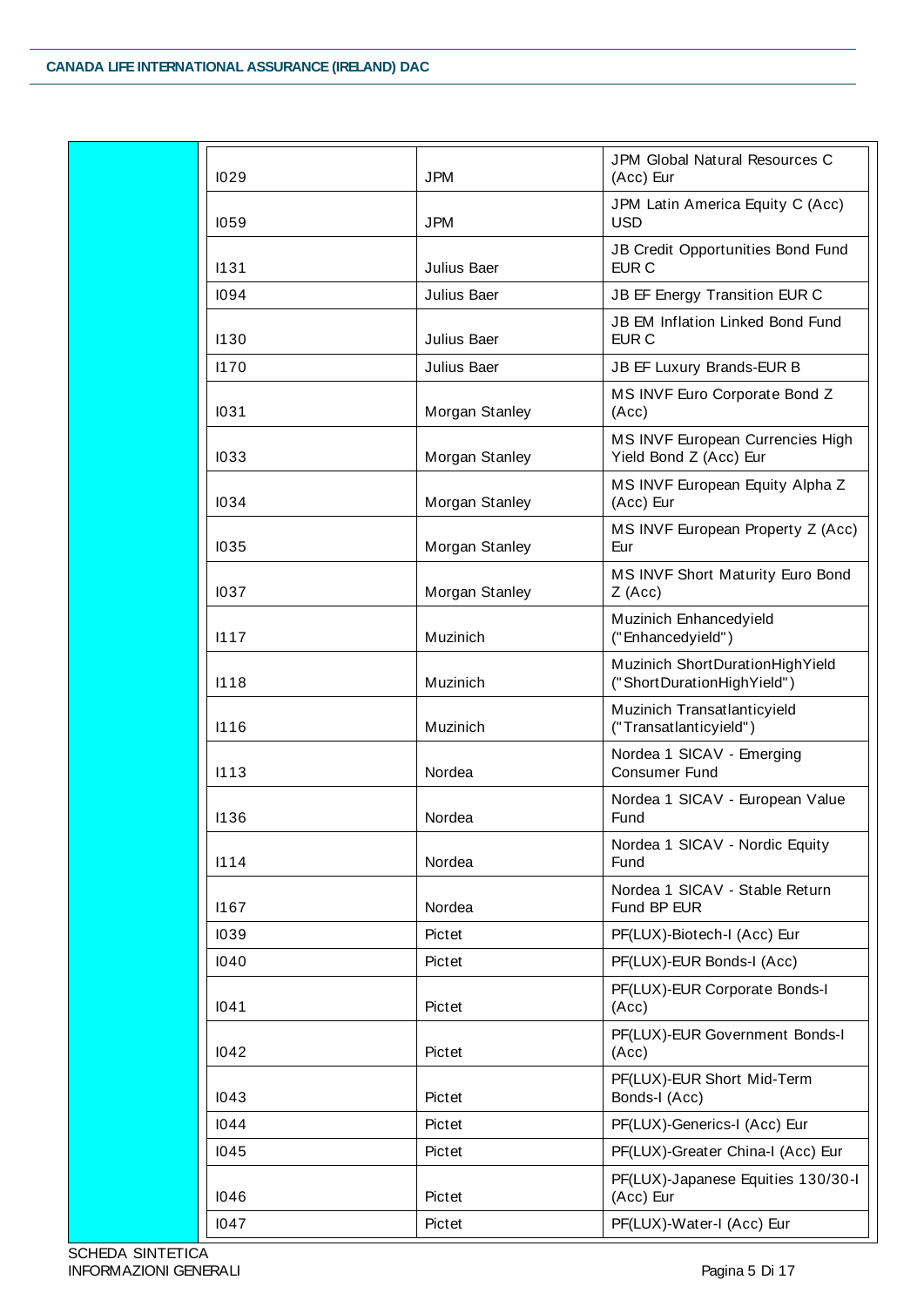| 1029 | <b>JPM</b>     | <b>JPM Global Natural Resources C</b><br>(Acc) Eur            |  |
|------|----------------|---------------------------------------------------------------|--|
| 1059 | <b>JPM</b>     | JPM Latin America Equity C (Acc)<br><b>USD</b>                |  |
| 1131 | Julius Baer    | JB Credit Opportunities Bond Fund<br>EUR <sub>C</sub>         |  |
| 1094 | Julius Baer    | JB EF Energy Transition EUR C                                 |  |
| 1130 | Julius Baer    | JB EM Inflation Linked Bond Fund<br>EUR <sub>C</sub>          |  |
| 1170 | Julius Baer    | JB EF Luxury Brands-EUR B                                     |  |
| 1031 | Morgan Stanley | MS INVF Euro Corporate Bond Z<br>(Acc)                        |  |
| 1033 | Morgan Stanley | MS INVF European Currencies High<br>Yield Bond Z (Acc) Eur    |  |
| 1034 | Morgan Stanley | MS INVF European Equity Alpha Z<br>(Acc) Eur                  |  |
| 1035 | Morgan Stanley | MS INVF European Property Z (Acc)<br>Eur                      |  |
| 1037 | Morgan Stanley | MS INVF Short Maturity Euro Bond<br>$Z$ (Acc)                 |  |
| 1117 | Muzinich       | Muzinich Enhancedyield<br>("Enhancedyield")                   |  |
| 1118 | Muzinich       | Muzinich ShortDurationHighYield<br>("ShortDurationHighYield") |  |
| 1116 | Muzinich       | Muzinich Transatlanticyield<br>("Transatlanticyield")         |  |
| 1113 | Nordea         | Nordea 1 SICAV - Emerging<br><b>Consumer Fund</b>             |  |
| 1136 | Nordea         | Nordea 1 SICAV - European Value<br>Fund                       |  |
| 1114 | Nordea         | Nordea 1 SICAV - Nordic Equity<br>Fund                        |  |
| 1167 | Nordea         | Nordea 1 SICAV - Stable Return<br>Fund BP EUR                 |  |
| 1039 | Pictet         | PF(LUX)-Biotech-I (Acc) Eur                                   |  |
| 1040 | Pictet         | PF(LUX)-EUR Bonds-I (Acc)                                     |  |
| 1041 | Pictet         | PF(LUX)-EUR Corporate Bonds-I<br>(Acc)                        |  |
| 1042 | Pictet         | PF(LUX)-EUR Government Bonds-I<br>(Acc)                       |  |
| 1043 | Pictet         | PF(LUX)-EUR Short Mid-Term<br>Bonds-I (Acc)                   |  |
| 1044 | Pictet         | PF(LUX)-Generics-I (Acc) Eur                                  |  |
| 1045 | Pictet         | PF(LUX)-Greater China-I (Acc) Eur                             |  |
| 1046 | Pictet         | PF(LUX)-Japanese Equities 130/30-l<br>(Acc) Eur               |  |
| 1047 | Pictet         | PF(LUX)-Water-I (Acc) Eur                                     |  |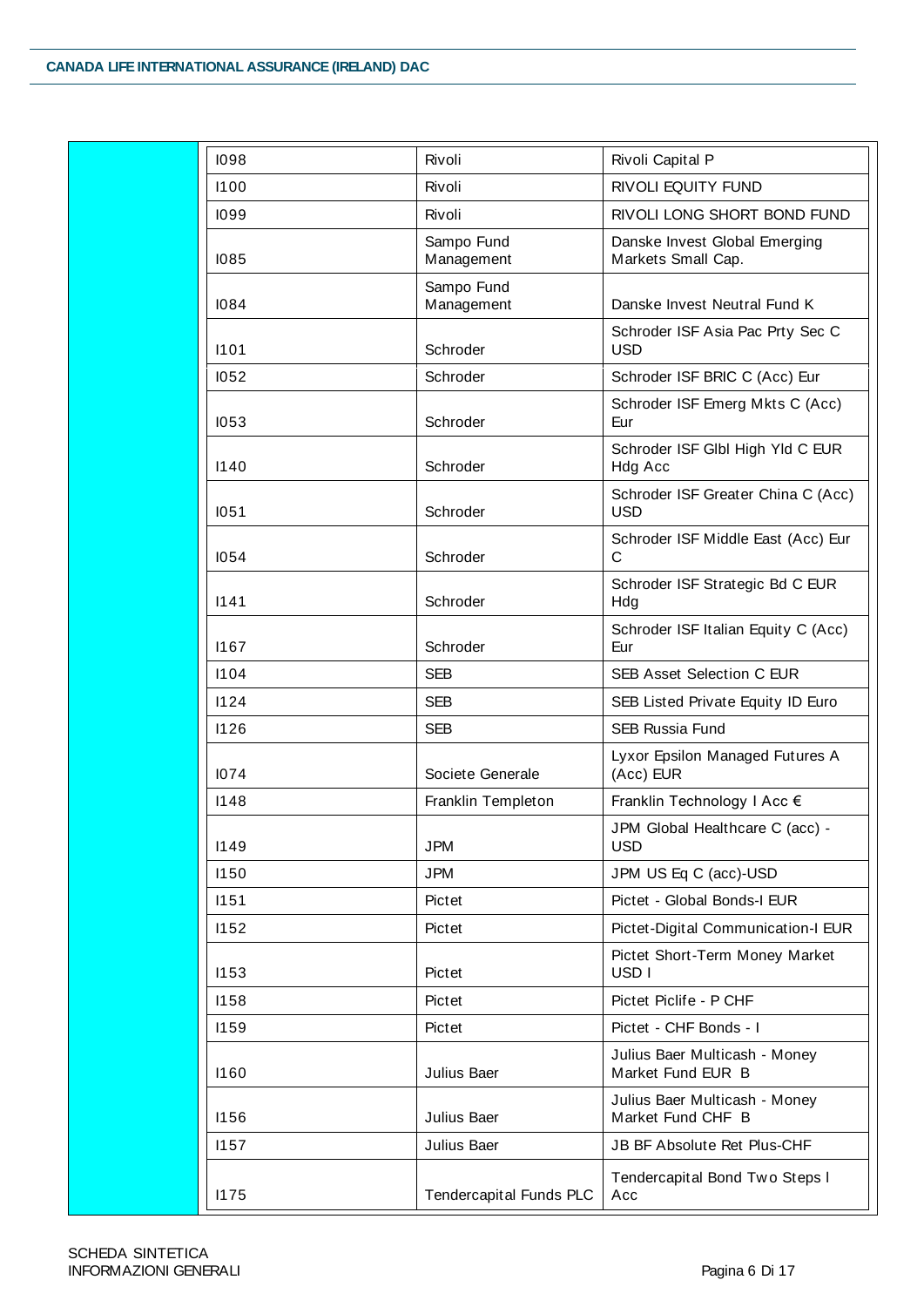| 1098 | Rivoli                                                 | Rivoli Capital P                                    |
|------|--------------------------------------------------------|-----------------------------------------------------|
| 1100 | Rivoli<br>RIVOLI EQUITY FUND                           |                                                     |
| 1099 | Rivoli                                                 | RIVOLI LONG SHORT BOND FUND                         |
| 1085 | Sampo Fund<br>Management                               | Danske Invest Global Emerging<br>Markets Small Cap. |
| 1084 | Sampo Fund<br>Management                               | Danske Invest Neutral Fund K                        |
| 1101 | Schroder                                               | Schroder ISF Asia Pac Prty Sec C<br><b>USD</b>      |
| 1052 | Schroder                                               | Schroder ISF BRIC C (Acc) Eur                       |
| 1053 | Schroder                                               | Schroder ISF Emerg Mkts C (Acc)<br>Eur              |
| 1140 | Schroder                                               | Schroder ISF GlbI High YId C EUR<br>Hdg Acc         |
| 1051 | Schroder                                               | Schroder ISF Greater China C (Acc)<br><b>USD</b>    |
| 1054 | Schroder                                               | Schroder ISF Middle East (Acc) Eur<br>C             |
| 1141 | Schroder                                               | Schroder ISF Strategic Bd C EUR<br>Hdg              |
| 1167 | Schroder ISF Italian Equity C (Acc)<br>Schroder<br>Eur |                                                     |
| 1104 | <b>SEB</b>                                             | <b>SEB Asset Selection C EUR</b>                    |
| 1124 | <b>SEB</b>                                             | SEB Listed Private Equity ID Euro                   |
| 1126 | <b>SEB</b>                                             | <b>SEB Russia Fund</b>                              |
| 1074 | Societe Generale                                       | Lyxor Epsilon Managed Futures A<br>(Acc) EUR        |
| 1148 | Franklin Templeton                                     | Franklin Technology I Acc €                         |
| 1149 | <b>JPM</b>                                             | JPM Global Healthcare C (acc) -<br><b>USD</b>       |
| 1150 | <b>JPM</b>                                             | JPM US Eq C (acc)-USD                               |
| 1151 | Pictet                                                 | Pictet - Global Bonds-I EUR                         |
| 1152 | Pictet                                                 | Pictet-Digital Communication-I EUR                  |
| 1153 | Pictet                                                 | Pictet Short-Term Money Market<br>USD <sub>I</sub>  |
| 1158 | Pictet                                                 | Pictet Piclife - P CHF                              |
| 1159 | Pictet                                                 | Pictet - CHF Bonds - I                              |
| 1160 | Julius Baer                                            | Julius Baer Multicash - Money<br>Market Fund EUR B  |
| 1156 | Julius Baer                                            | Julius Baer Multicash - Money<br>Market Fund CHF B  |
| 1157 | Julius Baer                                            | JB BF Absolute Ret Plus-CHF                         |
| 1175 | <b>Tendercapital Funds PLC</b>                         | Tendercapital Bond Two Steps I<br>Acc               |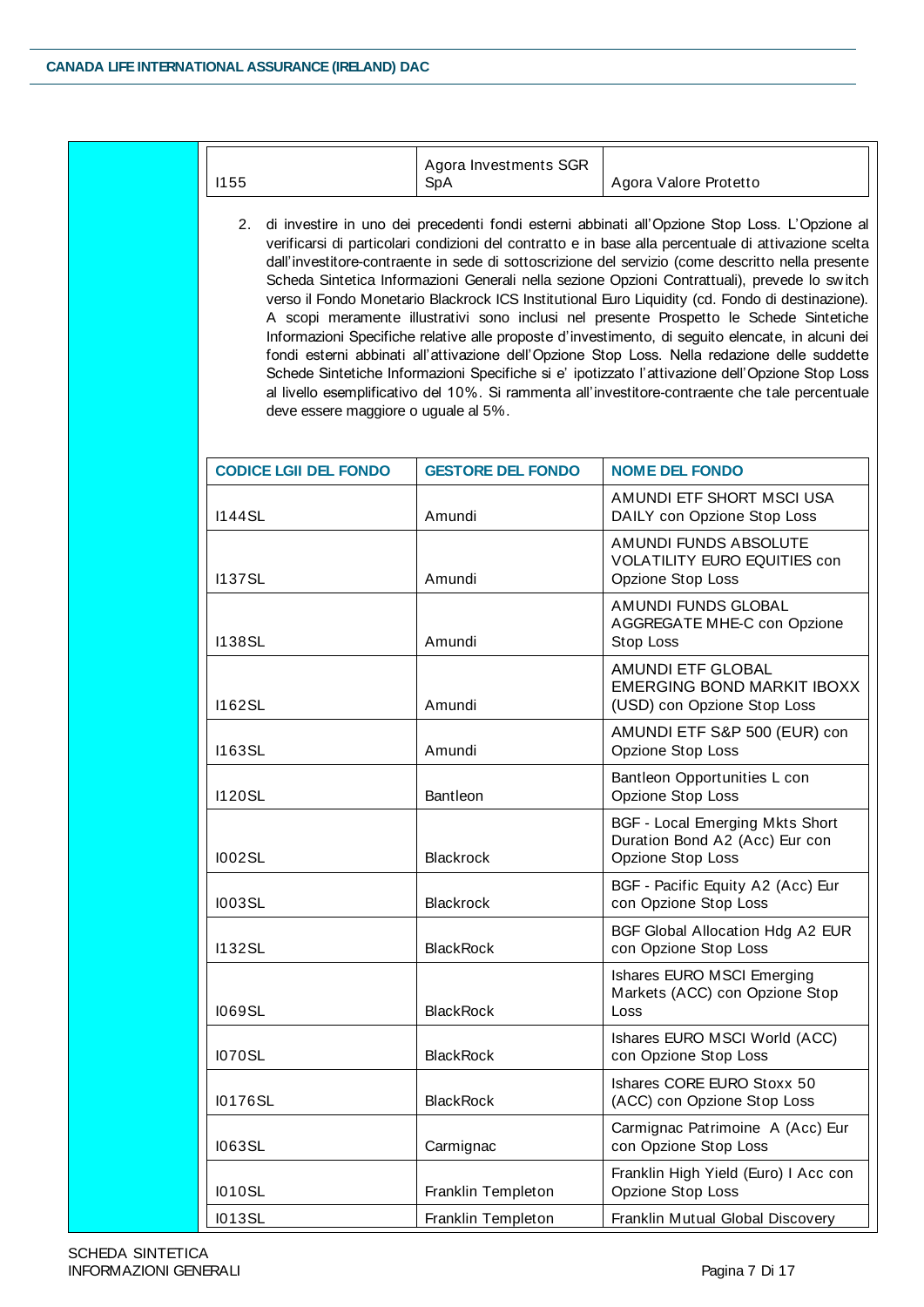| 1155                                                                                                                                                                                                                                                                                                                                                                                                                                                                                                                                                                                                                                                                                                                                                                                                                                                                                                                                                                                                                                                              | Agora Investments SGR<br>SpA | Agora Valore Protetto                                                                         |  |
|-------------------------------------------------------------------------------------------------------------------------------------------------------------------------------------------------------------------------------------------------------------------------------------------------------------------------------------------------------------------------------------------------------------------------------------------------------------------------------------------------------------------------------------------------------------------------------------------------------------------------------------------------------------------------------------------------------------------------------------------------------------------------------------------------------------------------------------------------------------------------------------------------------------------------------------------------------------------------------------------------------------------------------------------------------------------|------------------------------|-----------------------------------------------------------------------------------------------|--|
| 2. di investire in uno dei precedenti fondi esterni abbinati all'Opzione Stop Loss. L'Opzione al<br>verificarsi di particolari condizioni del contratto e in base alla percentuale di attivazione scelta<br>dall'investitore-contraente in sede di sottoscrizione del servizio (come descritto nella presente<br>Scheda Sintetica Informazioni Generali nella sezione Opzioni Contrattuali), prevede lo switch<br>verso il Fondo Monetario Blackrock ICS Institutional Euro Liquidity (cd. Fondo di destinazione).<br>A scopi meramente illustrativi sono inclusi nel presente Prospetto le Schede Sintetiche<br>Informazioni Specifiche relative alle proposte d'investimento, di seguito elencate, in alcuni dei<br>fondi esterni abbinati all'attivazione dell'Opzione Stop Loss. Nella redazione delle suddette<br>Schede Sintetiche Informazioni Specifiche si e' ipotizzato l'attivazione dell'Opzione Stop Loss<br>al livello esemplificativo del 10%. Si rammenta all'investitore-contraente che tale percentuale<br>deve essere maggiore o uguale al 5%. |                              |                                                                                               |  |
| <b>CODICE LGII DEL FONDO</b>                                                                                                                                                                                                                                                                                                                                                                                                                                                                                                                                                                                                                                                                                                                                                                                                                                                                                                                                                                                                                                      | <b>GESTORE DEL FONDO</b>     | <b>NOME DEL FONDO</b>                                                                         |  |
| <b>I144SL</b>                                                                                                                                                                                                                                                                                                                                                                                                                                                                                                                                                                                                                                                                                                                                                                                                                                                                                                                                                                                                                                                     | Amundi                       | AMUNDI ETF SHORT MSCI USA<br>DAILY con Opzione Stop Loss                                      |  |
| <b>I137SL</b>                                                                                                                                                                                                                                                                                                                                                                                                                                                                                                                                                                                                                                                                                                                                                                                                                                                                                                                                                                                                                                                     | Amundi                       | AMUNDI FUNDS ABSOLUTE<br><b>VOLATILITY EURO EQUITIES con</b><br>Opzione Stop Loss             |  |
| <b>I138SL</b>                                                                                                                                                                                                                                                                                                                                                                                                                                                                                                                                                                                                                                                                                                                                                                                                                                                                                                                                                                                                                                                     | Amundi                       | AMUNDI FUNDS GLOBAL<br>AGGREGATE MHE-C con Opzione<br>Stop Loss                               |  |
| <b>I162SL</b>                                                                                                                                                                                                                                                                                                                                                                                                                                                                                                                                                                                                                                                                                                                                                                                                                                                                                                                                                                                                                                                     | Amundi                       | AMUNDI ETF GLOBAL<br><b>EMERGING BOND MARKIT IBOXX</b><br>(USD) con Opzione Stop Loss         |  |
| <b>I163SL</b>                                                                                                                                                                                                                                                                                                                                                                                                                                                                                                                                                                                                                                                                                                                                                                                                                                                                                                                                                                                                                                                     | Amundi                       | AMUNDI ETF S&P 500 (EUR) con<br>Opzione Stop Loss                                             |  |
| <b>I120SL</b>                                                                                                                                                                                                                                                                                                                                                                                                                                                                                                                                                                                                                                                                                                                                                                                                                                                                                                                                                                                                                                                     | Bantleon                     | Bantleon Opportunities L con<br>Opzione Stop Loss                                             |  |
| 1002SL                                                                                                                                                                                                                                                                                                                                                                                                                                                                                                                                                                                                                                                                                                                                                                                                                                                                                                                                                                                                                                                            | <b>Blackrock</b>             | <b>BGF - Local Emerging Mkts Short</b><br>Duration Bond A2 (Acc) Eur con<br>Opzione Stop Loss |  |
| 1003SL                                                                                                                                                                                                                                                                                                                                                                                                                                                                                                                                                                                                                                                                                                                                                                                                                                                                                                                                                                                                                                                            | <b>Blackrock</b>             | BGF - Pacific Equity A2 (Acc) Eur<br>con Opzione Stop Loss                                    |  |
| <b>I132SL</b>                                                                                                                                                                                                                                                                                                                                                                                                                                                                                                                                                                                                                                                                                                                                                                                                                                                                                                                                                                                                                                                     | <b>BlackRock</b>             | BGF Global Allocation Hdg A2 EUR<br>con Opzione Stop Loss                                     |  |
| <b>I069SL</b>                                                                                                                                                                                                                                                                                                                                                                                                                                                                                                                                                                                                                                                                                                                                                                                                                                                                                                                                                                                                                                                     | <b>BlackRock</b>             | Ishares EURO MSCI Emerging<br>Markets (ACC) con Opzione Stop<br>Loss                          |  |
| 1070SL                                                                                                                                                                                                                                                                                                                                                                                                                                                                                                                                                                                                                                                                                                                                                                                                                                                                                                                                                                                                                                                            | <b>BlackRock</b>             | Ishares EURO MSCI World (ACC)<br>con Opzione Stop Loss                                        |  |
| 10176SL                                                                                                                                                                                                                                                                                                                                                                                                                                                                                                                                                                                                                                                                                                                                                                                                                                                                                                                                                                                                                                                           | <b>BlackRock</b>             | Ishares CORE EURO Stoxx 50<br>(ACC) con Opzione Stop Loss                                     |  |
| 1063SL                                                                                                                                                                                                                                                                                                                                                                                                                                                                                                                                                                                                                                                                                                                                                                                                                                                                                                                                                                                                                                                            | Carmignac                    | Carmignac Patrimoine A (Acc) Eur<br>con Opzione Stop Loss                                     |  |
| 1010SL                                                                                                                                                                                                                                                                                                                                                                                                                                                                                                                                                                                                                                                                                                                                                                                                                                                                                                                                                                                                                                                            | Franklin Templeton           | Franklin High Yield (Euro) I Acc con<br>Opzione Stop Loss                                     |  |
| 1013SL                                                                                                                                                                                                                                                                                                                                                                                                                                                                                                                                                                                                                                                                                                                                                                                                                                                                                                                                                                                                                                                            | Franklin Templeton           | Franklin Mutual Global Discovery                                                              |  |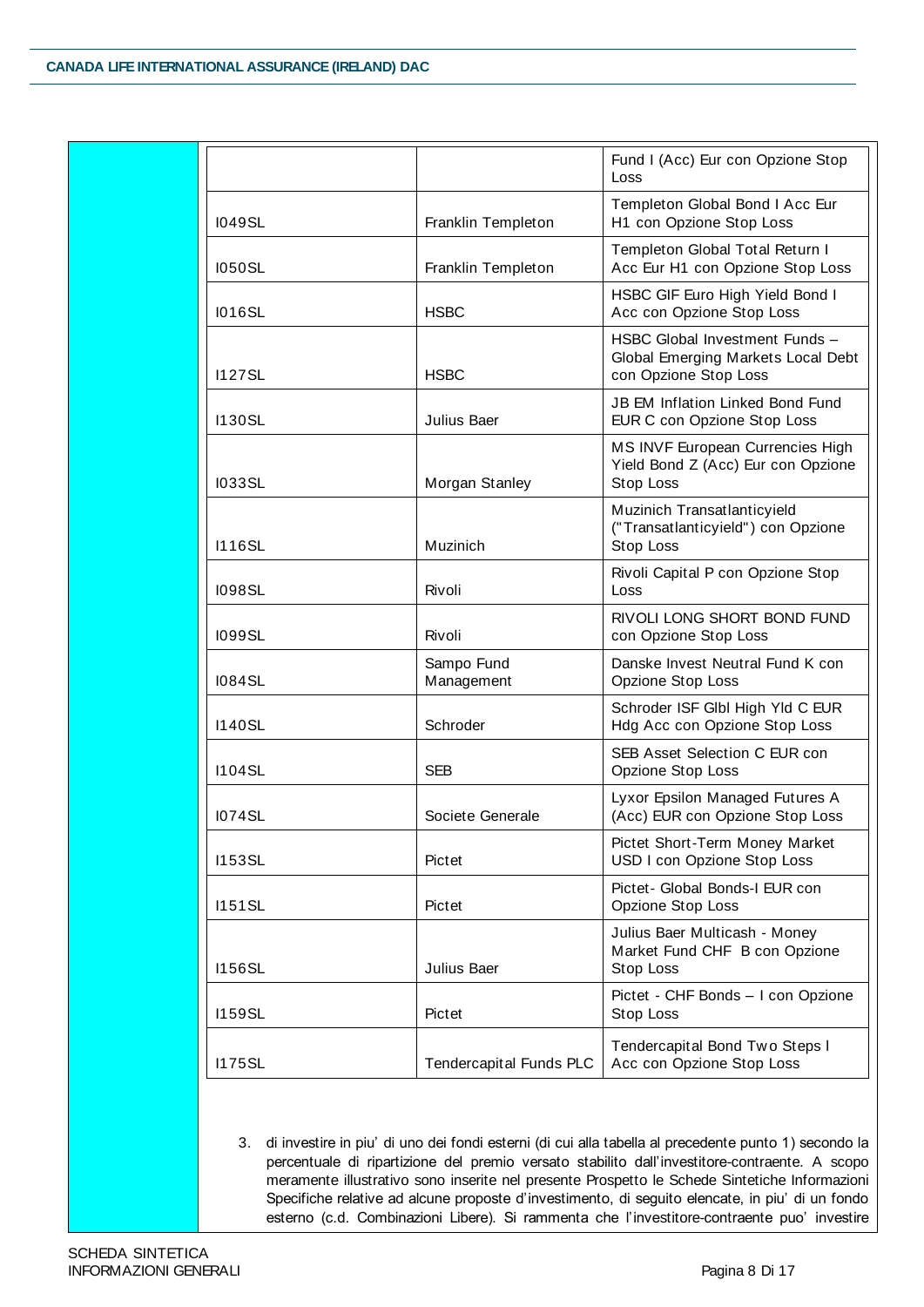|               |                                | Fund I (Acc) Eur con Opzione Stop<br>Loss                                                     |  |
|---------------|--------------------------------|-----------------------------------------------------------------------------------------------|--|
| 1049SL        | Franklin Templeton             | Templeton Global Bond I Acc Eur<br>H1 con Opzione Stop Loss                                   |  |
| 1050SL        | Franklin Templeton             | Templeton Global Total Return I<br>Acc Eur H1 con Opzione Stop Loss                           |  |
| <b>I016SL</b> | <b>HSBC</b>                    | HSBC GIF Euro High Yield Bond I<br>Acc con Opzione Stop Loss                                  |  |
| <b>I127SL</b> | <b>HSBC</b>                    | HSBC Global Investment Funds -<br>Global Emerging Markets Local Debt<br>con Opzione Stop Loss |  |
| <b>I130SL</b> | Julius Baer                    | <b>JB EM Inflation Linked Bond Fund</b><br>EUR C con Opzione Stop Loss                        |  |
| <b>I033SL</b> | Morgan Stanley                 | MS INVF European Currencies High<br>Yield Bond Z (Acc) Eur con Opzione<br>Stop Loss           |  |
| <b>I116SL</b> | Muzinich                       | Muzinich Transatlanticyield<br>("Transatlanticyield") con Opzione<br>Stop Loss                |  |
| 1098SL        | Rivoli                         | Rivoli Capital P con Opzione Stop<br>Loss                                                     |  |
| 1099SL        | Rivoli                         | RIVOLI LONG SHORT BOND FUND<br>con Opzione Stop Loss                                          |  |
| <b>1084SL</b> | Sampo Fund<br>Management       | Danske Invest Neutral Fund K con<br>Opzione Stop Loss                                         |  |
| <b>I140SL</b> | Schroder                       | Schroder ISF GlbI High Yld C EUR<br>Hdg Acc con Opzione Stop Loss                             |  |
| <b>I104SL</b> | <b>SEB</b>                     | SEB Asset Selection C EUR con<br>Opzione Stop Loss                                            |  |
| <b>I074SL</b> | Societe Generale               | Lyxor Epsilon Managed Futures A<br>(Acc) EUR con Opzione Stop Loss                            |  |
| <b>I153SL</b> | Pictet                         | Pictet Short-Term Money Market<br>USD I con Opzione Stop Loss                                 |  |
| <b>I151SL</b> | Pictet                         | Pictet- Global Bonds-I EUR con<br>Opzione Stop Loss                                           |  |
| <b>I156SL</b> | Julius Baer                    | Julius Baer Multicash - Money<br>Market Fund CHF B con Opzione<br>Stop Loss                   |  |
| <b>I159SL</b> | Pictet                         | Pictet - CHF Bonds - I con Opzione<br>Stop Loss                                               |  |
| <b>I175SL</b> | <b>Tendercapital Funds PLC</b> | Tendercapital Bond Two Steps I<br>Acc con Opzione Stop Loss                                   |  |

3. di investire in piu' di uno dei fondi esterni (di cui alla tabella al precedente punto 1) secondo la percentuale di ripartizione del premio versato stabilito dall'investitore-contraente. A scopo meramente illustrativo sono inserite nel presente Prospetto le Schede Sintetiche Informazioni Specifiche relative ad alcune proposte d'investimento, di seguito elencate, in piu' di un fondo esterno (c.d. Combinazioni Libere). Si rammenta che l'investitore-contraente puo' investire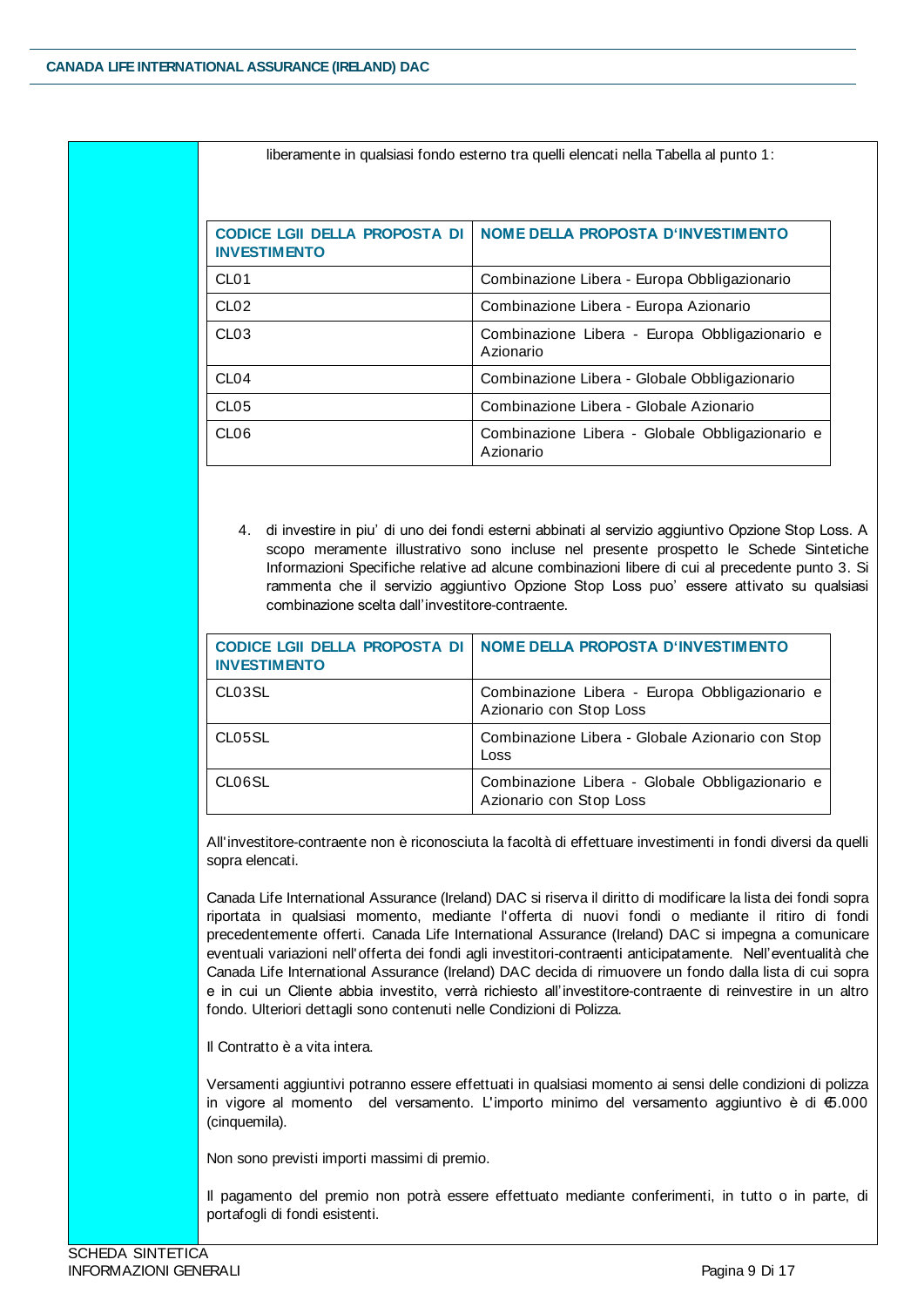| <b>CODICE LGII DELLA PROPOSTA DI</b><br><b>INVESTIMENTO</b> | NOME DELLA PROPOSTA D'INVESTIMENTO                           |
|-------------------------------------------------------------|--------------------------------------------------------------|
| CL <sub>01</sub>                                            | Combinazione Libera - Europa Obbligazionario                 |
| CL <sub>02</sub>                                            | Combinazione Libera - Europa Azionario                       |
| CL <sub>03</sub>                                            | Combinazione Libera - Europa Obbligazionario e<br>Azionario  |
| CL <sub>04</sub>                                            | Combinazione Libera - Globale Obbligazionario                |
| CL <sub>05</sub>                                            | Combinazione Libera - Globale Azionario                      |
| CL <sub>06</sub>                                            | Combinazione Libera - Globale Obbligazionario e<br>Azionario |

liberamente in qualsiasi fondo esterno tra quelli elencati nella Tabella al punto 1:

4. di investire in piu' di uno dei fondi esterni abbinati al servizio aggiuntivo Opzione Stop Loss. A scopo meramente illustrativo sono incluse nel presente prospetto le Schede Sintetiche Informazioni Specifiche relative ad alcune combinazioni libere di cui al precedente punto 3. Si rammenta che il servizio aggiuntivo Opzione Stop Loss puo' essere attivato su qualsiasi combinazione scelta dall'investitore-contraente.

| <b>CODICE LGII DELLA PROPOSTA DI</b><br><b>INVESTIMENTO</b> | <b>NOME DELLA PROPOSTA D'INVESTIMENTO</b>                                  |
|-------------------------------------------------------------|----------------------------------------------------------------------------|
| CL03SL                                                      | Combinazione Libera - Europa Obbligazionario e<br>Azionario con Stop Loss  |
| CL05SL                                                      | Combinazione Libera - Globale Azionario con Stop<br>Loss                   |
| CL06SL                                                      | Combinazione Libera - Globale Obbligazionario e<br>Azionario con Stop Loss |

All'investitore-contraente non è riconosciuta la facoltà di effettuare investimenti in fondi diversi da quelli sopra elencati.

Canada Life International Assurance (Ireland) DAC si riserva il diritto di modificare la lista dei fondi sopra riportata in qualsiasi momento, mediante l'offerta di nuovi fondi o mediante il ritiro di fondi precedentemente offerti. Canada Life International Assurance (Ireland) DAC si impegna a comunicare eventuali variazioni nell'offerta dei fondi agli investitori-contraenti anticipatamente. Nell'eventualità che Canada Life International Assurance (Ireland) DAC decida di rimuovere un fondo dalla lista di cui sopra e in cui un Cliente abbia investito, verrà richiesto all'investitore-contraente di reinvestire in un altro fondo. Ulteriori dettagli sono contenuti nelle Condizioni di Polizza.

Il Contratto è a vita intera.

Versamenti aggiuntivi potranno essere effettuati in qualsiasi momento ai sensi delle condizioni di polizza in vigore al momento del versamento. L'importo minimo del versamento aggiuntivo è di €5.000 (cinquemila).

Non sono previsti importi massimi di premio.

Il pagamento del premio non potrà essere effettuato mediante conferimenti, in tutto o in parte, di portafogli di fondi esistenti.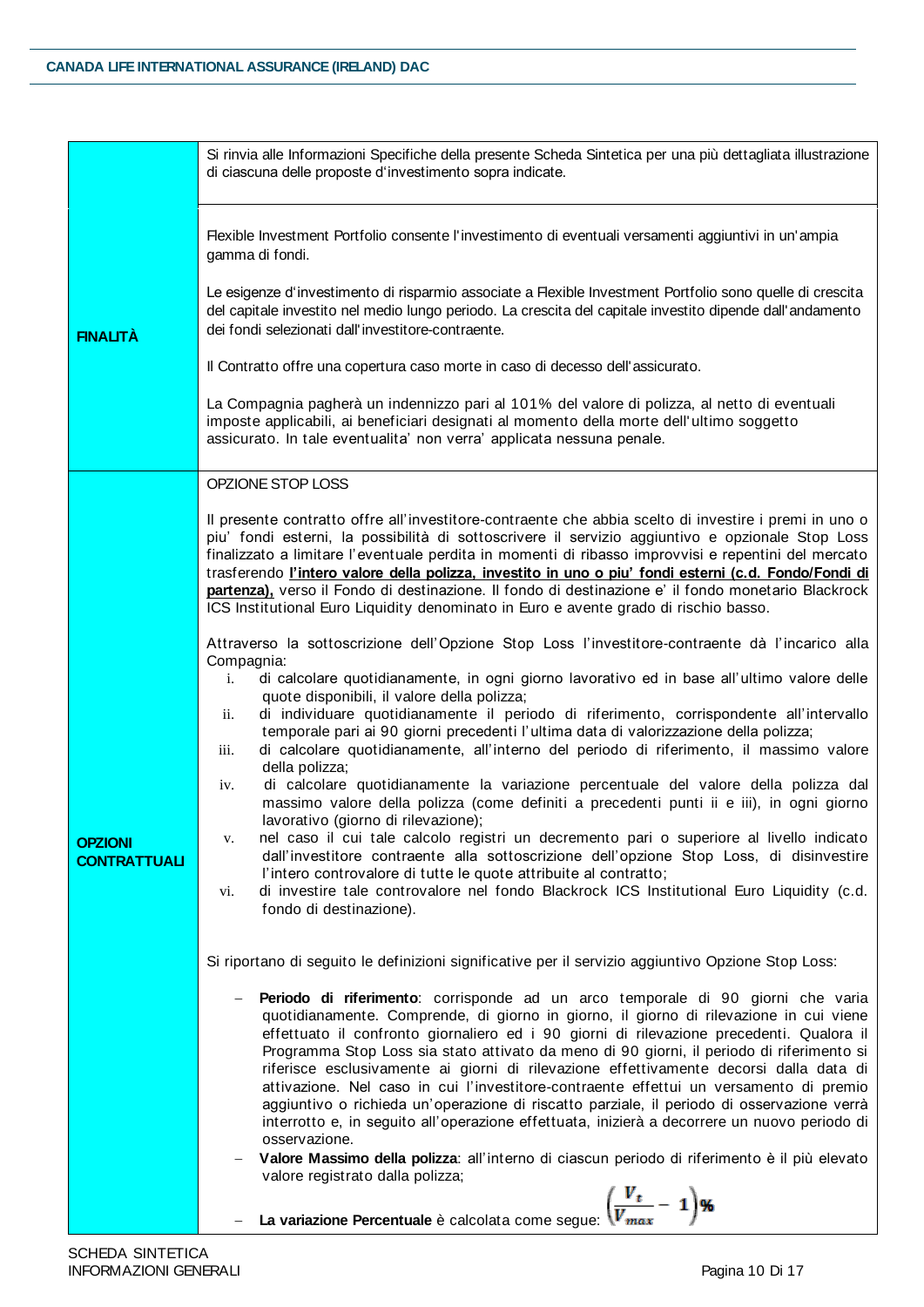|                                       | Si rinvia alle Informazioni Specifiche della presente Scheda Sintetica per una più dettagliata illustrazione<br>di ciascuna delle proposte d'investimento sopra indicate.                                                                                                                                                                                                                                                                                                                                                                                                                                                                                                                                                                                                                                                                                                                                                                                                                                                                                                                        |  |  |  |
|---------------------------------------|--------------------------------------------------------------------------------------------------------------------------------------------------------------------------------------------------------------------------------------------------------------------------------------------------------------------------------------------------------------------------------------------------------------------------------------------------------------------------------------------------------------------------------------------------------------------------------------------------------------------------------------------------------------------------------------------------------------------------------------------------------------------------------------------------------------------------------------------------------------------------------------------------------------------------------------------------------------------------------------------------------------------------------------------------------------------------------------------------|--|--|--|
| <b>FINALITÀ</b>                       | Flexible Investment Portfolio consente l'investimento di eventuali versamenti aggiuntivi in un'ampia<br>gamma di fondi.<br>Le esigenze d'investimento di risparmio associate a Flexible Investment Portfolio sono quelle di crescita<br>del capitale investito nel medio lungo periodo. La crescita del capitale investito dipende dall'andamento<br>dei fondi selezionati dall'investitore-contraente.<br>Il Contratto offre una copertura caso morte in caso di decesso dell'assicurato.<br>La Compagnia pagherà un indennizzo pari al 101% del valore di polizza, al netto di eventuali<br>imposte applicabili, ai beneficiari designati al momento della morte dell'ultimo soggetto<br>assicurato. In tale eventualita' non verra' applicata nessuna penale.                                                                                                                                                                                                                                                                                                                                 |  |  |  |
|                                       | OPZIONE STOP LOSS                                                                                                                                                                                                                                                                                                                                                                                                                                                                                                                                                                                                                                                                                                                                                                                                                                                                                                                                                                                                                                                                                |  |  |  |
|                                       | Il presente contratto offre all'investitore-contraente che abbia scelto di investire i premi in uno o<br>piu' fondi esterni, la possibilità di sottoscrivere il servizio aggiuntivo e opzionale Stop Loss<br>finalizzato a limitare l'eventuale perdita in momenti di ribasso improvvisi e repentini del mercato<br>trasferendo l'intero valore della polizza, investito in uno o piu' fondi esterni (c.d. Fondo/Fondi di<br>partenza), verso il Fondo di destinazione. Il fondo di destinazione e' il fondo monetario Blackrock<br>ICS Institutional Euro Liquidity denominato in Euro e avente grado di rischio basso.                                                                                                                                                                                                                                                                                                                                                                                                                                                                         |  |  |  |
|                                       | Attraverso la sottoscrizione dell'Opzione Stop Loss l'investitore-contraente dà l'incarico alla<br>Compagnia:                                                                                                                                                                                                                                                                                                                                                                                                                                                                                                                                                                                                                                                                                                                                                                                                                                                                                                                                                                                    |  |  |  |
| <b>OPZIONI</b><br><b>CONTRATTUALI</b> | di calcolare quotidianamente, in ogni giorno lavorativo ed in base all'ultimo valore delle<br>i.<br>quote disponibili, il valore della polizza;<br>di individuare quotidianamente il periodo di riferimento, corrispondente all'intervallo<br>ii.<br>temporale pari ai 90 giorni precedenti l'ultima data di valorizzazione della polizza;<br>di calcolare quotidianamente, all'interno del periodo di riferimento, il massimo valore<br>iii.<br>della polizza;<br>di calcolare quotidianamente la variazione percentuale del valore della polizza dal<br>iv.<br>massimo valore della polizza (come definiti a precedenti punti ii e iii), in ogni giorno<br>lavorativo (giorno di rilevazione);<br>nel caso il cui tale calcolo registri un decremento pari o superiore al livello indicato<br>V.<br>dall'investitore contraente alla sottoscrizione dell'opzione Stop Loss, di disinvestire<br>l'intero controvalore di tutte le quote attribuite al contratto;<br>di investire tale controvalore nel fondo Blackrock ICS Institutional Euro Liquidity (c.d.<br>VI.<br>fondo di destinazione). |  |  |  |
|                                       | Si riportano di seguito le definizioni significative per il servizio aggiuntivo Opzione Stop Loss:                                                                                                                                                                                                                                                                                                                                                                                                                                                                                                                                                                                                                                                                                                                                                                                                                                                                                                                                                                                               |  |  |  |
|                                       | Periodo di riferimento: corrisponde ad un arco temporale di 90 giorni che varia<br>quotidianamente. Comprende, di giorno in giorno, il giorno di rilevazione in cui viene<br>effettuato il confronto giornaliero ed i 90 giorni di rilevazione precedenti. Qualora il<br>Programma Stop Loss sia stato attivato da meno di 90 giorni, il periodo di riferimento si<br>riferisce esclusivamente ai giorni di rilevazione effettivamente decorsi dalla data di<br>attivazione. Nel caso in cui l'investitore-contraente effettui un versamento di premio<br>aggiuntivo o richieda un'operazione di riscatto parziale, il periodo di osservazione verrà<br>interrotto e, in seguito all'operazione effettuata, inizierà a decorrere un nuovo periodo di<br>osservazione.<br>Valore Massimo della polizza: all'interno di ciascun periodo di riferimento è il più elevato<br>valore registrato dalla polizza;<br>La variazione Percentuale è calcolata come segue: $\left(\frac{V_t}{V_{max}} - 1\right)$ %                                                                                          |  |  |  |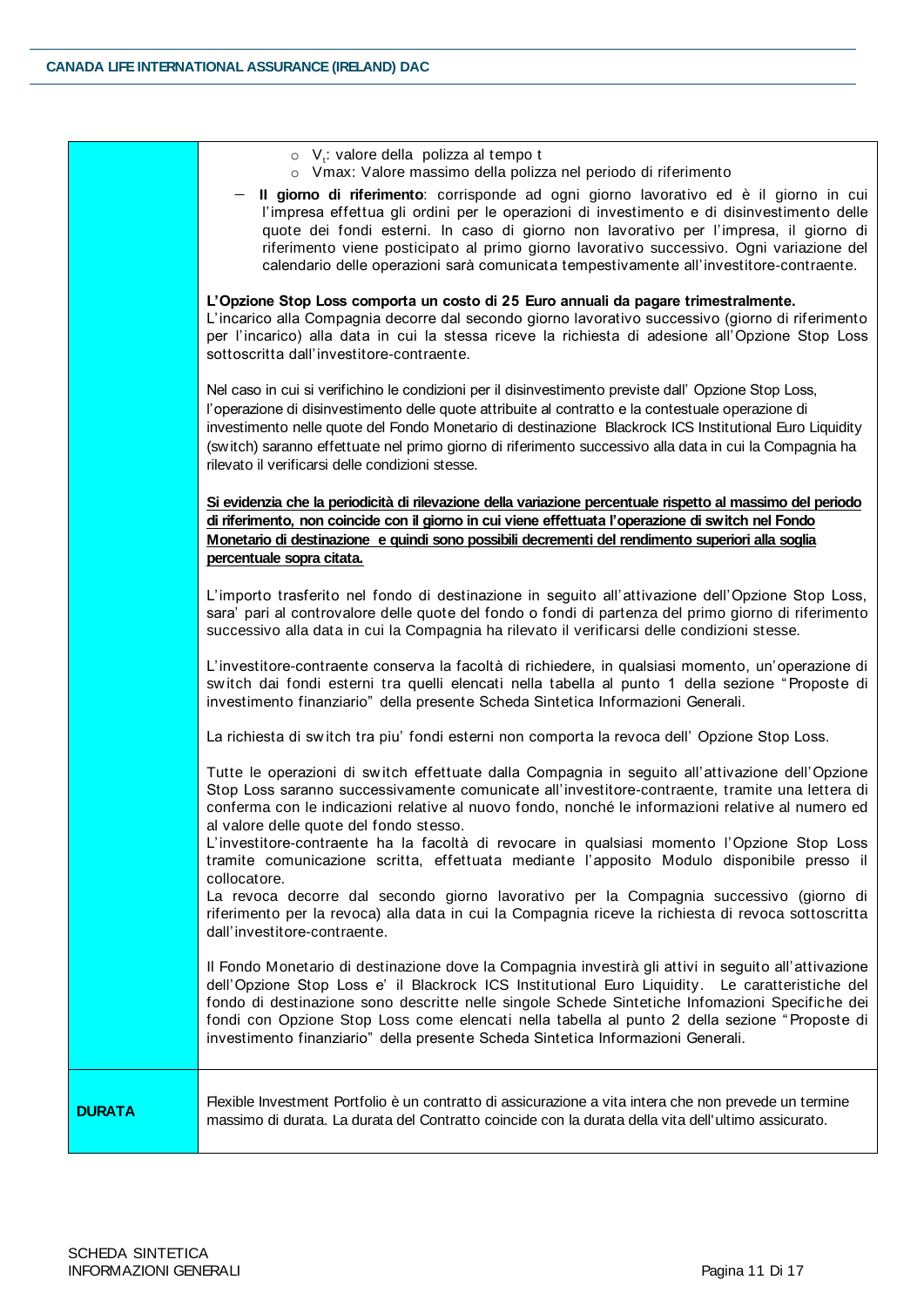| <b>DURATA</b> | Flexible Investment Portfolio è un contratto di assicurazione a vita intera che non prevede un termine<br>massimo di durata. La durata del Contratto coincide con la durata della vita dell'ultimo assicurato.                                                                                                                                                                                                                                                                                                                                                                                     |
|---------------|----------------------------------------------------------------------------------------------------------------------------------------------------------------------------------------------------------------------------------------------------------------------------------------------------------------------------------------------------------------------------------------------------------------------------------------------------------------------------------------------------------------------------------------------------------------------------------------------------|
|               | Il Fondo Monetario di destinazione dove la Compagnia investirà gli attivi in seguito all'attivazione<br>dell'Opzione Stop Loss e' il Blackrock ICS Institutional Euro Liquidity. Le caratteristiche del<br>fondo di destinazione sono descritte nelle singole Schede Sintetiche Infomazioni Specifiche dei<br>fondi con Opzione Stop Loss come elencati nella tabella al punto 2 della sezione "Proposte di<br>investimento finanziario" della presente Scheda Sintetica Informazioni Generali.                                                                                                    |
|               | al valore delle quote del fondo stesso.<br>L'investitore-contraente ha la facoltà di revocare in qualsiasi momento l'Opzione Stop Loss<br>tramite comunicazione scritta, effettuata mediante l'apposito Modulo disponibile presso il<br>collocatore.<br>La revoca decorre dal secondo giorno lavorativo per la Compagnia successivo (giorno di<br>riferimento per la revoca) alla data in cui la Compagnia riceve la richiesta di revoca sottoscritta<br>dall'investitore-contraente.                                                                                                              |
|               | La richiesta di switch tra piu' fondi esterni non comporta la revoca dell' Opzione Stop Loss.<br>Tutte le operazioni di switch effettuate dalla Compagnia in seguito all'attivazione dell'Opzione<br>Stop Loss saranno successivamente comunicate all'investitore-contraente, tramite una lettera di<br>conferma con le indicazioni relative al nuovo fondo, nonché le informazioni relative al numero ed                                                                                                                                                                                          |
|               | L'investitore-contraente conserva la facoltà di richiedere, in qualsiasi momento, un'operazione di<br>switch dai fondi esterni tra quelli elencati nella tabella al punto 1 della sezione "Proposte di<br>investimento finanziario" della presente Scheda Sintetica Informazioni Generali.                                                                                                                                                                                                                                                                                                         |
|               | L'importo trasferito nel fondo di destinazione in seguito all'attivazione dell'Opzione Stop Loss,<br>sara' pari al controvalore delle quote del fondo o fondi di partenza del primo giorno di riferimento<br>successivo alla data in cui la Compagnia ha rilevato il verificarsi delle condizioni stesse.                                                                                                                                                                                                                                                                                          |
|               | Si evidenzia che la periodicità di rilevazione della variazione percentuale rispetto al massimo del periodo<br>di riferimento, non coincide con il giorno in cui viene effettuata l'operazione di switch nel Fondo<br>Monetario di destinazione e quindi sono possibili decrementi del rendimento superiori alla soglia<br>percentuale sopra citata.                                                                                                                                                                                                                                               |
|               | Nel caso in cui si verifichino le condizioni per il disinvestimento previste dall' Opzione Stop Loss,<br>l'operazione di disinvestimento delle quote attribuite al contratto e la contestuale operazione di<br>investimento nelle quote del Fondo Monetario di destinazione Blackrock ICS Institutional Euro Liquidity<br>(switch) saranno effettuate nel primo giorno di riferimento successivo alla data in cui la Compagnia ha<br>rilevato il verificarsi delle condizioni stesse.                                                                                                              |
|               | L'Opzione Stop Loss comporta un costo di 25 Euro annuali da pagare trimestralmente.<br>L'incarico alla Compagnia decorre dal secondo giorno lavorativo successivo (giorno di riferimento<br>per l'incarico) alla data in cui la stessa riceve la richiesta di adesione all'Opzione Stop Loss<br>sottoscritta dall'investitore-contraente.                                                                                                                                                                                                                                                          |
|               | $\circ$ V <sub>t</sub> : valore della polizza al tempo t<br>o Vmax: Valore massimo della polizza nel periodo di riferimento<br>Il giorno di riferimento: corrisponde ad ogni giorno lavorativo ed è il giorno in cui<br>l'impresa effettua gli ordini per le operazioni di investimento e di disinvestimento delle<br>quote dei fondi esterni. In caso di giorno non lavorativo per l'impresa, il giorno di<br>riferimento viene posticipato al primo giorno lavorativo successivo. Ogni variazione del<br>calendario delle operazioni sarà comunicata tempestivamente all'investitore-contraente. |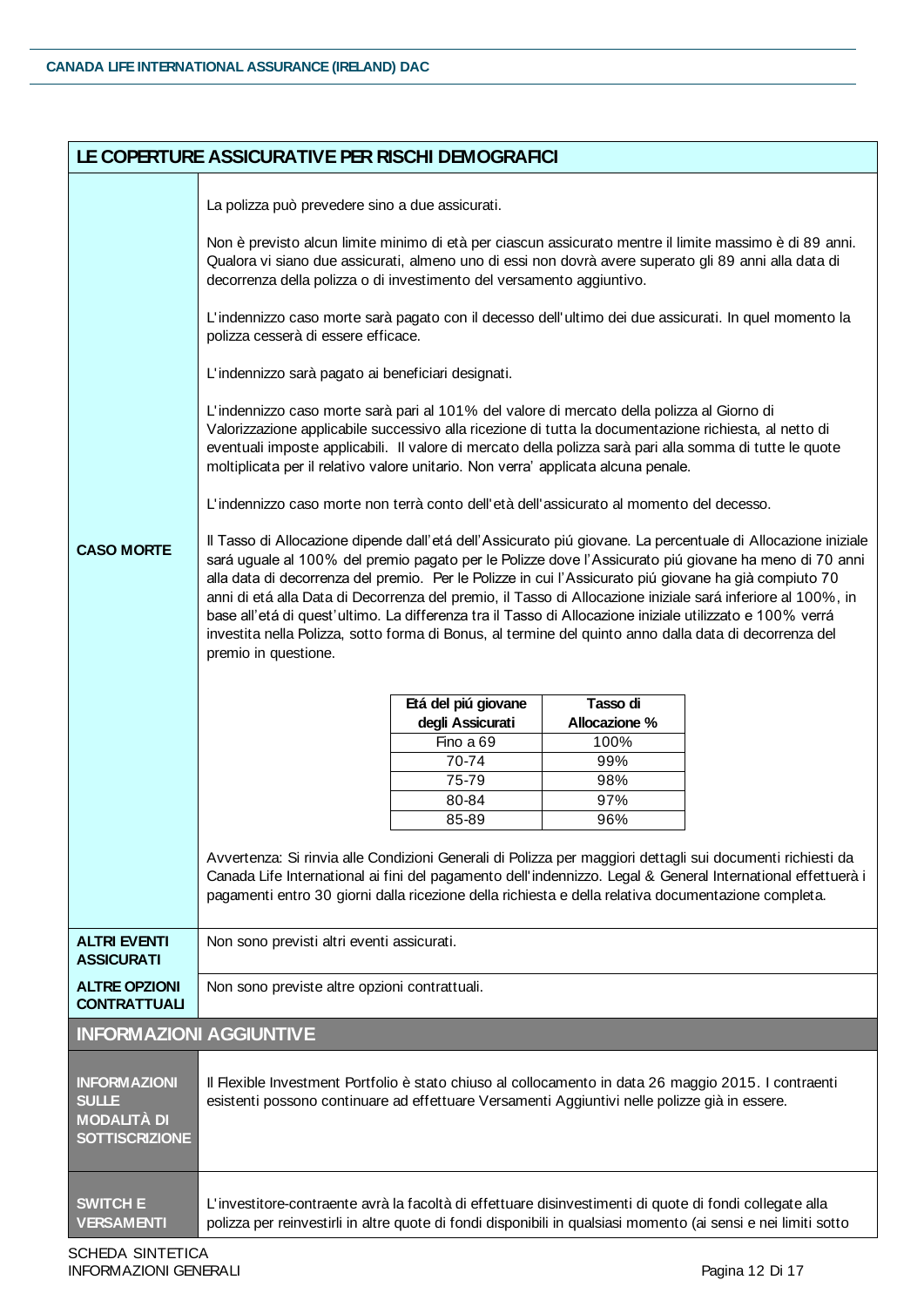|                                                                                    | LE COPERTURE ASSICURATIVE PER RISCHI DEMOGRAFICI                                                                                                                                                                                                                                                                                                                                                                                                                                                                                                                                                                                                                                                                                                                                                                                                                                                                                                                                                                                                                                                                                                                                                                                                                                                                                                                                                                                                                                                                                                                                                                                                                                                                                                                                                                                                                                                                                                                                                                                                                                                                                                                                                                                                        |  |  |  |
|------------------------------------------------------------------------------------|---------------------------------------------------------------------------------------------------------------------------------------------------------------------------------------------------------------------------------------------------------------------------------------------------------------------------------------------------------------------------------------------------------------------------------------------------------------------------------------------------------------------------------------------------------------------------------------------------------------------------------------------------------------------------------------------------------------------------------------------------------------------------------------------------------------------------------------------------------------------------------------------------------------------------------------------------------------------------------------------------------------------------------------------------------------------------------------------------------------------------------------------------------------------------------------------------------------------------------------------------------------------------------------------------------------------------------------------------------------------------------------------------------------------------------------------------------------------------------------------------------------------------------------------------------------------------------------------------------------------------------------------------------------------------------------------------------------------------------------------------------------------------------------------------------------------------------------------------------------------------------------------------------------------------------------------------------------------------------------------------------------------------------------------------------------------------------------------------------------------------------------------------------------------------------------------------------------------------------------------------------|--|--|--|
| <b>CASO MORTE</b>                                                                  | La polizza può prevedere sino a due assicurati.<br>Non è previsto alcun limite minimo di età per ciascun assicurato mentre il limite massimo è di 89 anni.<br>Qualora vi siano due assicurati, almeno uno di essi non dovrà avere superato gli 89 anni alla data di<br>decorrenza della polizza o di investimento del versamento aggiuntivo.<br>L'indennizzo caso morte sarà pagato con il decesso dell'ultimo dei due assicurati. In quel momento la<br>polizza cesserà di essere efficace.<br>L'indennizzo sarà pagato ai beneficiari designati.<br>L'indennizzo caso morte sarà pari al 101% del valore di mercato della polizza al Giorno di<br>Valorizzazione applicabile successivo alla ricezione di tutta la documentazione richiesta, al netto di<br>eventuali imposte applicabili. Il valore di mercato della polizza sarà pari alla somma di tutte le quote<br>moltiplicata per il relativo valore unitario. Non verra' applicata alcuna penale.<br>L'indennizzo caso morte non terrà conto dell'età dell'assicurato al momento del decesso.<br>Il Tasso di Allocazione dipende dall'etá dell'Assicurato piú giovane. La percentuale di Allocazione iniziale<br>sará uguale al 100% del premio pagato per le Polizze dove l'Assicurato piú giovane ha meno di 70 anni<br>alla data di decorrenza del premio. Per le Polizze in cui l'Assicurato piú giovane ha già compiuto 70<br>anni di etá alla Data di Decorrenza del premio, il Tasso di Allocazione iniziale sará inferiore al 100%, in<br>base all'etá di quest'ultimo. La differenza tra il Tasso di Allocazione iniziale utilizzato e 100% verrá<br>investita nella Polizza, sotto forma di Bonus, al termine del quinto anno dalla data di decorrenza del<br>premio in questione.<br>Tasso di<br>Etá del piú giovane<br>Allocazione %<br>degli Assicurati<br>Fino a 69<br>100%<br>70-74<br>99%<br>75-79<br>98%<br>97%<br>80-84<br>85-89<br>96%<br>Avvertenza: Si rinvia alle Condizioni Generali di Polizza per maggiori dettagli sui documenti richiesti da<br>Canada Life International ai fini del pagamento dell'indennizzo. Legal & General International effettuerà i<br>pagamenti entro 30 giorni dalla ricezione della richiesta e della relativa documentazione completa. |  |  |  |
|                                                                                    |                                                                                                                                                                                                                                                                                                                                                                                                                                                                                                                                                                                                                                                                                                                                                                                                                                                                                                                                                                                                                                                                                                                                                                                                                                                                                                                                                                                                                                                                                                                                                                                                                                                                                                                                                                                                                                                                                                                                                                                                                                                                                                                                                                                                                                                         |  |  |  |
| <b>ALTRI EVENTI</b><br><b>ASSICURATI</b>                                           | Non sono previsti altri eventi assicurati.                                                                                                                                                                                                                                                                                                                                                                                                                                                                                                                                                                                                                                                                                                                                                                                                                                                                                                                                                                                                                                                                                                                                                                                                                                                                                                                                                                                                                                                                                                                                                                                                                                                                                                                                                                                                                                                                                                                                                                                                                                                                                                                                                                                                              |  |  |  |
| <b>ALTRE OPZIONI</b><br><b>CONTRATTUALI</b>                                        | Non sono previste altre opzioni contrattuali.                                                                                                                                                                                                                                                                                                                                                                                                                                                                                                                                                                                                                                                                                                                                                                                                                                                                                                                                                                                                                                                                                                                                                                                                                                                                                                                                                                                                                                                                                                                                                                                                                                                                                                                                                                                                                                                                                                                                                                                                                                                                                                                                                                                                           |  |  |  |
| <b>INFORMAZIONI AGGIUNTIVE</b>                                                     |                                                                                                                                                                                                                                                                                                                                                                                                                                                                                                                                                                                                                                                                                                                                                                                                                                                                                                                                                                                                                                                                                                                                                                                                                                                                                                                                                                                                                                                                                                                                                                                                                                                                                                                                                                                                                                                                                                                                                                                                                                                                                                                                                                                                                                                         |  |  |  |
| <b>INFORMAZIONI</b><br><b>SULLE</b><br><b>MODALITÀ DI</b><br><b>SOTTISCRIZIONE</b> | Il Flexible Investment Portfolio è stato chiuso al collocamento in data 26 maggio 2015. I contraenti<br>esistenti possono continuare ad effettuare Versamenti Aggiuntivi nelle polizze già in essere.                                                                                                                                                                                                                                                                                                                                                                                                                                                                                                                                                                                                                                                                                                                                                                                                                                                                                                                                                                                                                                                                                                                                                                                                                                                                                                                                                                                                                                                                                                                                                                                                                                                                                                                                                                                                                                                                                                                                                                                                                                                   |  |  |  |
| <b>SWITCH E</b><br><b>VERSAMENTI</b>                                               | L'investitore-contraente avrà la facoltà di effettuare disinvestimenti di quote di fondi collegate alla<br>polizza per reinvestirli in altre quote di fondi disponibili in qualsiasi momento (ai sensi e nei limiti sotto                                                                                                                                                                                                                                                                                                                                                                                                                                                                                                                                                                                                                                                                                                                                                                                                                                                                                                                                                                                                                                                                                                                                                                                                                                                                                                                                                                                                                                                                                                                                                                                                                                                                                                                                                                                                                                                                                                                                                                                                                               |  |  |  |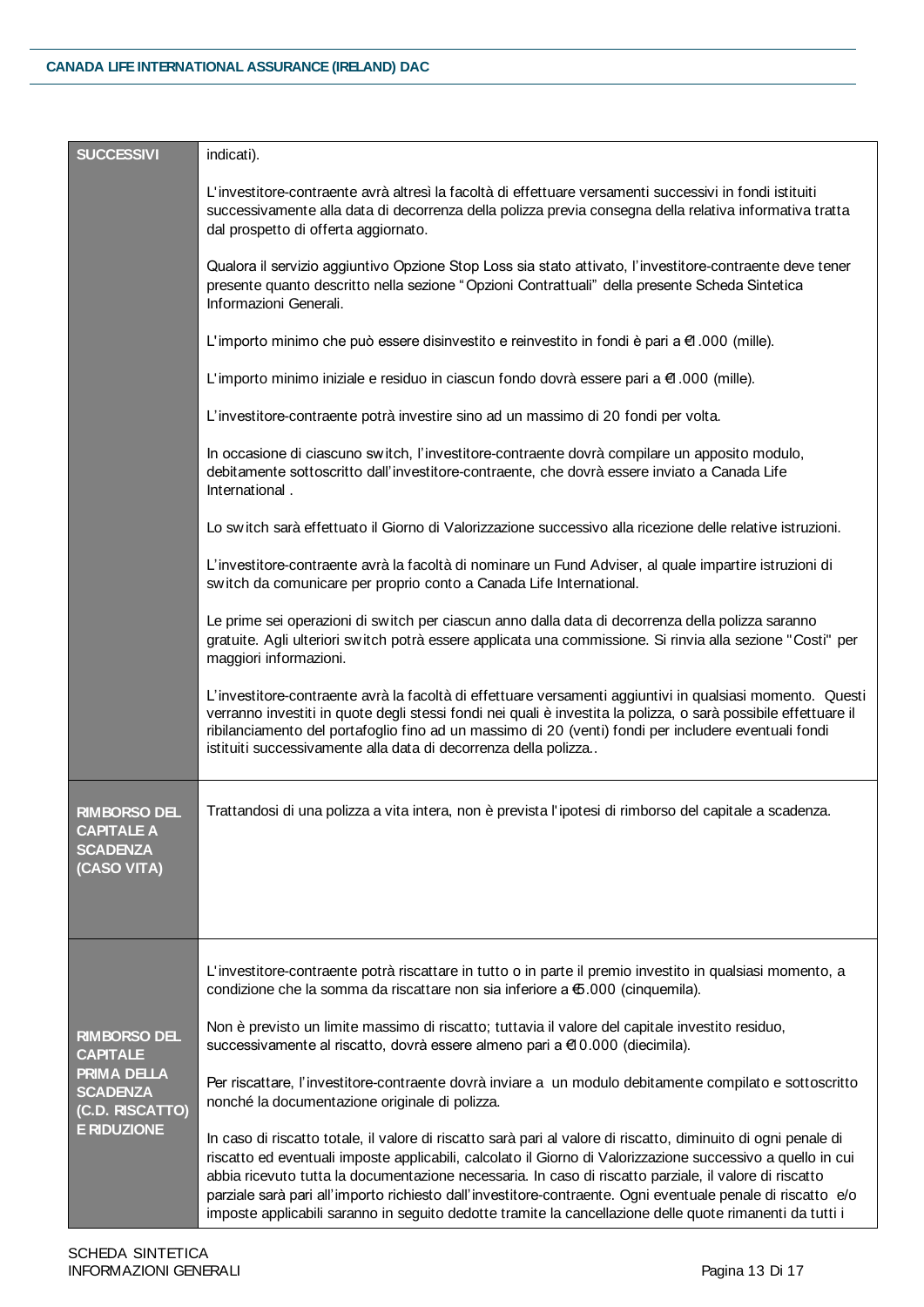| <b>SUCCESSIVI</b>                                                                                                 | indicati).                                                                                                                                                                                                                                                                                                                                                                                                                                                                                                                                                         |
|-------------------------------------------------------------------------------------------------------------------|--------------------------------------------------------------------------------------------------------------------------------------------------------------------------------------------------------------------------------------------------------------------------------------------------------------------------------------------------------------------------------------------------------------------------------------------------------------------------------------------------------------------------------------------------------------------|
|                                                                                                                   | L'investitore-contraente avrà altresì la facoltà di effettuare versamenti successivi in fondi istituiti<br>successivamente alla data di decorrenza della polizza previa consegna della relativa informativa tratta<br>dal prospetto di offerta aggiornato.                                                                                                                                                                                                                                                                                                         |
|                                                                                                                   | Qualora il servizio aggiuntivo Opzione Stop Loss sia stato attivato, l'investitore-contraente deve tener<br>presente quanto descritto nella sezione "Opzioni Contrattuali" della presente Scheda Sintetica<br>Informazioni Generali.                                                                                                                                                                                                                                                                                                                               |
|                                                                                                                   | L'importo minimo che può essere disinvestito e reinvestito in fondi è pari a $\epsilon$ 1.000 (mille).                                                                                                                                                                                                                                                                                                                                                                                                                                                             |
|                                                                                                                   | L'importo minimo iniziale e residuo in ciascun fondo dovrà essere pari a €1.000 (mille).                                                                                                                                                                                                                                                                                                                                                                                                                                                                           |
|                                                                                                                   | L'investitore-contraente potrà investire sino ad un massimo di 20 fondi per volta.                                                                                                                                                                                                                                                                                                                                                                                                                                                                                 |
|                                                                                                                   | In occasione di ciascuno switch, l'investitore-contraente dovrà compilare un apposito modulo,<br>debitamente sottoscritto dall'investitore-contraente, che dovrà essere inviato a Canada Life<br>International.                                                                                                                                                                                                                                                                                                                                                    |
|                                                                                                                   | Lo switch sarà effettuato il Giorno di Valorizzazione successivo alla ricezione delle relative istruzioni.                                                                                                                                                                                                                                                                                                                                                                                                                                                         |
|                                                                                                                   | L'investitore-contraente avrà la facoltà di nominare un Fund Adviser, al quale impartire istruzioni di<br>switch da comunicare per proprio conto a Canada Life International.                                                                                                                                                                                                                                                                                                                                                                                      |
|                                                                                                                   | Le prime sei operazioni di switch per ciascun anno dalla data di decorrenza della polizza saranno<br>gratuite. Agli ulteriori switch potrà essere applicata una commissione. Si rinvia alla sezione "Costi" per<br>maggiori informazioni.                                                                                                                                                                                                                                                                                                                          |
|                                                                                                                   | L'investitore-contraente avrà la facoltà di effettuare versamenti aggiuntivi in qualsiasi momento. Questi<br>verranno investiti in quote degli stessi fondi nei quali è investita la polizza, o sarà possibile effettuare il<br>ribilanciamento del portafoglio fino ad un massimo di 20 (venti) fondi per includere eventuali fondi<br>istituiti successivamente alla data di decorrenza della polizza                                                                                                                                                            |
| <b>RIMBORSO DEL</b><br><b>CAPITALE A</b><br><b>SCADENZA</b><br>(CASO VITA)                                        | Trattandosi di una polizza a vita intera, non è prevista l'ipotesi di rimborso del capitale a scadenza.                                                                                                                                                                                                                                                                                                                                                                                                                                                            |
| <b>RIMBORSO DEL</b><br><b>CAPITALE</b><br>PRIMA DELLA<br><b>SCADENZA</b><br>(C.D. RISCATTO)<br><b>E RIDUZIONE</b> | L'investitore-contraente potrà riscattare in tutto o in parte il premio investito in qualsiasi momento, a<br>condizione che la somma da riscattare non sia inferiore a €.000 (cinquemila).                                                                                                                                                                                                                                                                                                                                                                         |
|                                                                                                                   | Non è previsto un limite massimo di riscatto; tuttavia il valore del capitale investito residuo,<br>successivamente al riscatto, dovrà essere almeno pari a €10.000 (diecimila).                                                                                                                                                                                                                                                                                                                                                                                   |
|                                                                                                                   | Per riscattare, l'investitore-contraente dovrà inviare a un modulo debitamente compilato e sottoscritto<br>nonché la documentazione originale di polizza.                                                                                                                                                                                                                                                                                                                                                                                                          |
|                                                                                                                   | In caso di riscatto totale, il valore di riscatto sarà pari al valore di riscatto, diminuito di ogni penale di<br>riscatto ed eventuali imposte applicabili, calcolato il Giorno di Valorizzazione successivo a quello in cui<br>abbia ricevuto tutta la documentazione necessaria. In caso di riscatto parziale, il valore di riscatto<br>parziale sarà pari all'importo richiesto dall'investitore-contraente. Ogni eventuale penale di riscatto e/o<br>imposte applicabili saranno in seguito dedotte tramite la cancellazione delle quote rimanenti da tutti i |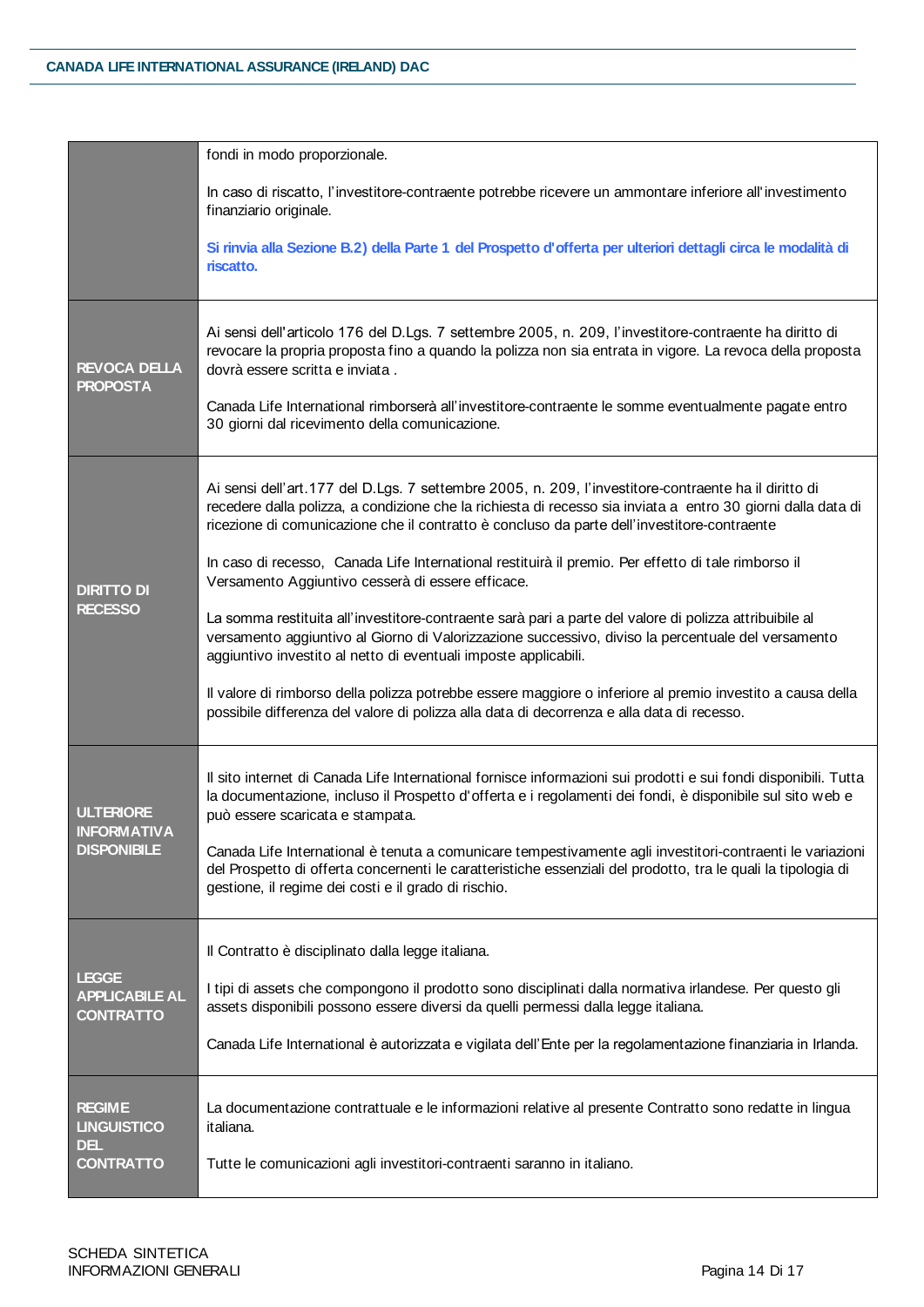|                                                                | fondi in modo proporzionale.                                                                                                                                                                                                                                                                                                                                                                                               |
|----------------------------------------------------------------|----------------------------------------------------------------------------------------------------------------------------------------------------------------------------------------------------------------------------------------------------------------------------------------------------------------------------------------------------------------------------------------------------------------------------|
|                                                                | In caso di riscatto, l'investitore-contraente potrebbe ricevere un ammontare inferiore all'investimento<br>finanziario originale.                                                                                                                                                                                                                                                                                          |
|                                                                | Si rinvia alla Sezione B.2) della Parte 1 del Prospetto d'offerta per ulteriori dettagli circa le modalità di<br>riscatto.                                                                                                                                                                                                                                                                                                 |
| <b>REVOCA DELLA</b><br><b>PROPOSTA</b>                         | Ai sensi dell'articolo 176 del D.Lgs. 7 settembre 2005, n. 209, l'investitore-contraente ha diritto di<br>revocare la propria proposta fino a quando la polizza non sia entrata in vigore. La revoca della proposta<br>dovrà essere scritta e inviata.<br>Canada Life International rimborserà all'investitore-contraente le somme eventualmente pagate entro<br>30 giorni dal ricevimento della comunicazione.            |
| <b>DIRITTO DI</b><br><b>RECESSO</b>                            | Ai sensi dell'art.177 del D.Lgs. 7 settembre 2005, n. 209, l'investitore-contraente ha il diritto di<br>recedere dalla polizza, a condizione che la richiesta di recesso sia inviata a entro 30 giorni dalla data di<br>ricezione di comunicazione che il contratto è concluso da parte dell'investitore-contraente<br>In caso di recesso, Canada Life International restituirà il premio. Per effetto di tale rimborso il |
|                                                                | Versamento Aggiuntivo cesserà di essere efficace.                                                                                                                                                                                                                                                                                                                                                                          |
|                                                                | La somma restituita all'investitore-contraente sarà pari a parte del valore di polizza attribuibile al<br>versamento aggiuntivo al Giorno di Valorizzazione successivo, diviso la percentuale del versamento<br>aggiuntivo investito al netto di eventuali imposte applicabili.                                                                                                                                            |
|                                                                | Il valore di rimborso della polizza potrebbe essere maggiore o inferiore al premio investito a causa della<br>possibile differenza del valore di polizza alla data di decorrenza e alla data di recesso.                                                                                                                                                                                                                   |
| <b>ULTERIORE</b><br><b>INFORMATIVA</b><br><b>DISPONIBILE</b>   | Il sito internet di Canada Life International fornisce informazioni sui prodotti e sui fondi disponibili. Tutta<br>la documentazione, incluso il Prospetto d'offerta e i regolamenti dei fondi, è disponibile sul sito web e<br>può essere scaricata e stampata.                                                                                                                                                           |
|                                                                | Canada Life International è tenuta a comunicare tempestivamente agli investitori-contraenti le variazioni<br>del Prospetto di offerta concernenti le caratteristiche essenziali del prodotto, tra le quali la tipologia di<br>gestione, il regime dei costi e il grado di rischio.                                                                                                                                         |
| <b>LEGGE</b><br><b>APPLICABILE AL</b><br><b>CONTRATTO</b>      | Il Contratto è disciplinato dalla legge italiana.                                                                                                                                                                                                                                                                                                                                                                          |
|                                                                | I tipi di assets che compongono il prodotto sono disciplinati dalla normativa irlandese. Per questo gli<br>assets disponibili possono essere diversi da quelli permessi dalla legge italiana.                                                                                                                                                                                                                              |
|                                                                | Canada Life International è autorizzata e vigilata dell'Ente per la regolamentazione finanziaria in Irlanda.                                                                                                                                                                                                                                                                                                               |
| <b>REGIME</b><br><b>LINGUISTICO</b><br>DEL<br><b>CONTRATTO</b> | La documentazione contrattuale e le informazioni relative al presente Contratto sono redatte in lingua<br>italiana.                                                                                                                                                                                                                                                                                                        |
|                                                                | Tutte le comunicazioni agli investitori-contraenti saranno in italiano.                                                                                                                                                                                                                                                                                                                                                    |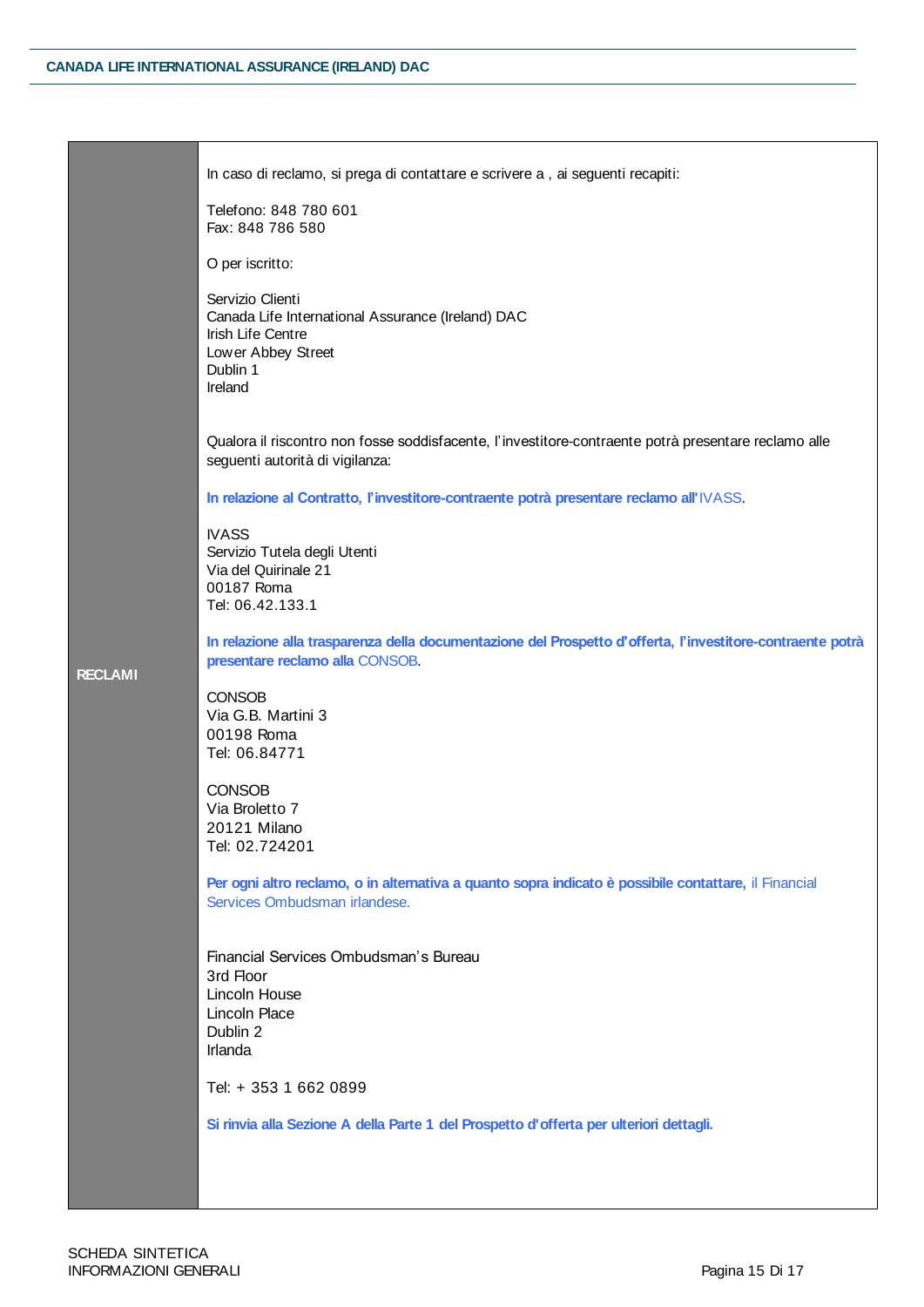| <b>RECLAMI</b> | In caso di reclamo, si prega di contattare e scrivere a, ai seguenti recapiti:                                                                |
|----------------|-----------------------------------------------------------------------------------------------------------------------------------------------|
|                | Telefono: 848 780 601<br>Fax: 848 786 580                                                                                                     |
|                | O per iscritto:                                                                                                                               |
|                | Servizio Clienti<br>Canada Life International Assurance (Ireland) DAC<br>Irish Life Centre<br>Low er Abbey Street<br>Dublin 1<br>Ireland      |
|                | Qualora il riscontro non fosse soddisfacente, l'investitore-contraente potrà presentare reclamo alle<br>seguenti autorità di vigilanza:       |
|                | In relazione al Contratto, l'investitore-contraente potrà presentare reclamo all'IVASS.                                                       |
|                | <b>IVASS</b><br>Servizio Tutela degli Utenti<br>Via del Quirinale 21<br>00187 Roma<br>Tel: 06.42.133.1                                        |
|                | In relazione alla trasparenza della documentazione del Prospetto d'offerta, l'investitore-contraente potrà<br>presentare reclamo alla CONSOB. |
|                | <b>CONSOB</b><br>Via G.B. Martini 3<br>00198 Roma<br>Tel: 06.84771                                                                            |
|                | <b>CONSOB</b><br>Via Broletto 7<br>20121 Milano<br>Tel: 02.724201                                                                             |
|                | Per ogni altro reclamo, o in alternativa a quanto sopra indicato è possibile contattare, il Financial<br>Services Ombudsman irlandese.        |
|                | Financial Services Ombudsman's Bureau<br>3rd Floor<br>Lincoln House<br>Lincoln Place<br>Dublin 2<br>Irlanda                                   |
|                | Tel: + 353 1 662 0899                                                                                                                         |
|                | Si rinvia alla Sezione A della Parte 1 del Prospetto d'offerta per ulteriori dettagli.                                                        |
|                |                                                                                                                                               |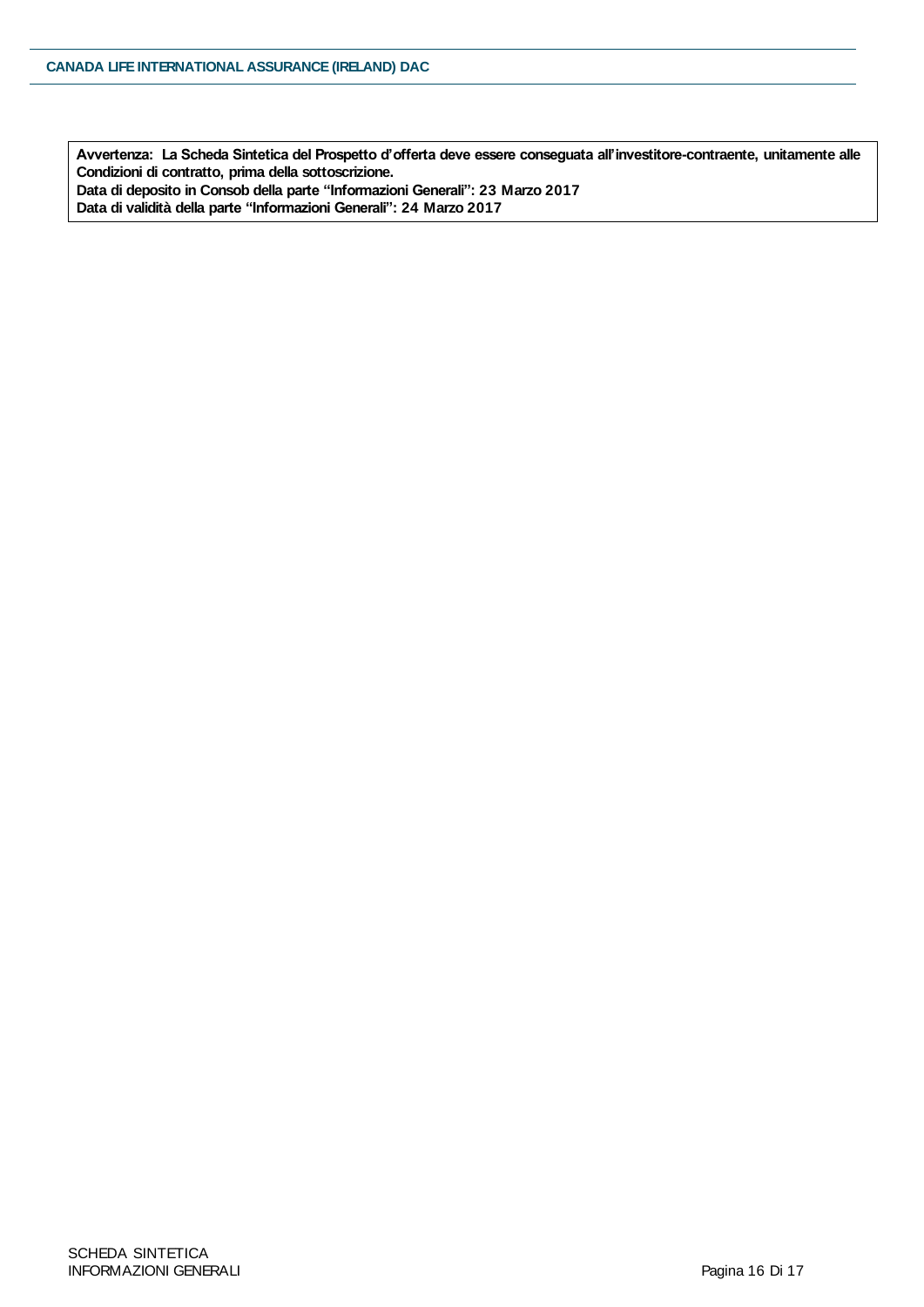**Avvertenza: La Scheda Sintetica del Prospetto d'offerta deve essere conseguata all'investitore-contraente, unitamente alle Condizioni di contratto, prima della sottoscrizione. Data di deposito in Consob della parte "Informazioni Generali": 23 Marzo 2017**

**Data di validità della parte "Informazioni Generali": 24 Marzo 2017**